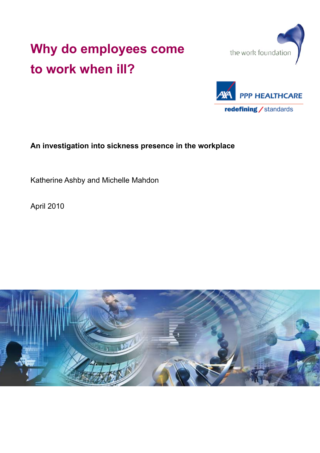# **Why do employees come to work when ill?**





**An investigation into sickness presence in the workplace**

Katherine Ashby and Michelle Mahdon

April 2010

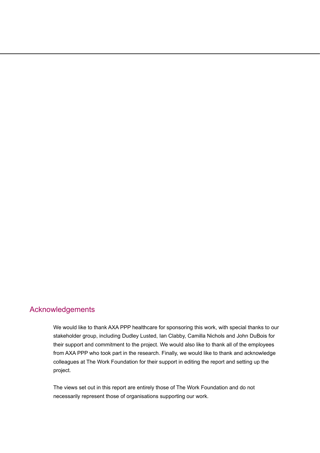# Acknowledgements

We would like to thank AXA PPP healthcare for sponsoring this work, with special thanks to our stakeholder group, including Dudley Lusted, Ian Clabby, Camilla Nichols and John DuBois for their support and commitment to the project. We would also like to thank all of the employees from AXA PPP who took part in the research. Finally, we would like to thank and acknowledge colleagues at The Work Foundation for their support in editing the report and setting up the project.

The views set out in this report are entirely those of The Work Foundation and do not necessarily represent those of organisations supporting our work.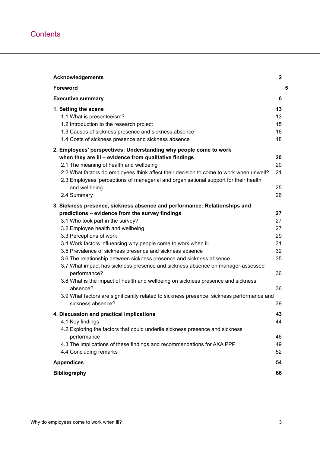| <b>Acknowledgements</b>                                                                                                                                                                                                                                                             | $\mathbf{2}$               |   |
|-------------------------------------------------------------------------------------------------------------------------------------------------------------------------------------------------------------------------------------------------------------------------------------|----------------------------|---|
| <b>Foreword</b>                                                                                                                                                                                                                                                                     |                            | 5 |
| <b>Executive summary</b>                                                                                                                                                                                                                                                            | 6                          |   |
| 1. Setting the scene<br>1.1 What is presenteeism?<br>1.2 Introduction to the research project<br>1.3 Causes of sickness presence and sickness absence<br>1.4 Costs of sickness presence and sickness absence                                                                        | 13<br>13<br>15<br>16<br>18 |   |
| 2. Employees' perspectives: Understanding why people come to work                                                                                                                                                                                                                   |                            |   |
| when they are ill - evidence from qualitative findings<br>2.1 The meaning of health and wellbeing<br>2.2 What factors do employees think affect their decision to come to work when unwell?<br>2.3 Employees' perceptions of managerial and organisational support for their health | 20<br>20<br>21             |   |
| and wellbeing                                                                                                                                                                                                                                                                       | 25                         |   |
| 2.4 Summary                                                                                                                                                                                                                                                                         | 26                         |   |
| 3. Sickness presence, sickness absence and performance: Relationships and                                                                                                                                                                                                           |                            |   |
| predictions - evidence from the survey findings                                                                                                                                                                                                                                     | 27                         |   |
| 3.1 Who took part in the survey?                                                                                                                                                                                                                                                    | 27                         |   |
| 3.2 Employee health and wellbeing                                                                                                                                                                                                                                                   | 27                         |   |
| 3.3 Perceptions of work                                                                                                                                                                                                                                                             | 29                         |   |
| 3.4 Work factors influencing why people come to work when ill                                                                                                                                                                                                                       | 31                         |   |
| 3.5 Prevalence of sickness presence and sickness absence                                                                                                                                                                                                                            | 32                         |   |
| 3.6 The relationship between sickness presence and sickness absence                                                                                                                                                                                                                 | 35                         |   |
| 3.7 What impact has sickness presence and sickness absence on manager-assessed<br>performance?<br>3.8 What is the impact of health and wellbeing on sickness presence and sickness                                                                                                  | 36                         |   |
| absence?                                                                                                                                                                                                                                                                            | 36                         |   |
| 3.9 What factors are significantly related to sickness presence, sickness performance and                                                                                                                                                                                           |                            |   |
| sickness absence?                                                                                                                                                                                                                                                                   | 39                         |   |
| 4. Discussion and practical implications                                                                                                                                                                                                                                            | 43                         |   |
| 4.1 Key findings                                                                                                                                                                                                                                                                    | 44                         |   |
| 4.2 Exploring the factors that could underlie sickness presence and sickness<br>performance<br>4.3 The implications of these findings and recommendations for AXA PPP<br>4.4 Concluding remarks                                                                                     | 46<br>49<br>52             |   |
| <b>Appendices</b>                                                                                                                                                                                                                                                                   | 54                         |   |
| <b>Bibliography</b>                                                                                                                                                                                                                                                                 | 66                         |   |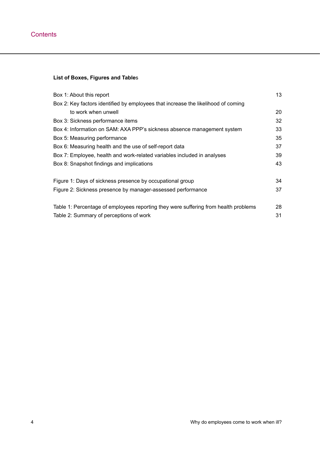# **List of Boxes, Figures and Table**s

| Box 1: About this report                                                            | 13 |
|-------------------------------------------------------------------------------------|----|
| Box 2: Key factors identified by employees that increase the likelihood of coming   |    |
| to work when unwell                                                                 | 20 |
| Box 3: Sickness performance items                                                   | 32 |
| Box 4: Information on SAM: AXA PPP's sickness absence management system             | 33 |
| Box 5: Measuring performance                                                        | 35 |
| Box 6: Measuring health and the use of self-report data                             | 37 |
| Box 7: Employee, health and work-related variables included in analyses             | 39 |
| Box 8: Snapshot findings and implications                                           | 43 |
| Figure 1: Days of sickness presence by occupational group                           | 34 |
| Figure 2: Sickness presence by manager-assessed performance                         | 37 |
| Table 1: Percentage of employees reporting they were suffering from health problems | 28 |
| Table 2: Summary of perceptions of work                                             | 31 |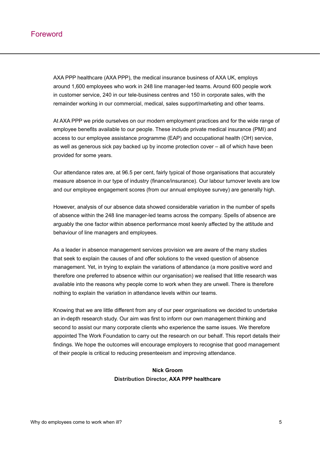<span id="page-4-0"></span>AXA PPP healthcare (AXA PPP), the medical insurance business of AXA UK, employs around 1,600 employees who work in 248 line manager-led teams. Around 600 people work in customer service, 240 in our tele-business centres and 150 in corporate sales, with the remainder working in our commercial, medical, sales support/marketing and other teams.

At AXA PPP we pride ourselves on our modern employment practices and for the wide range of employee benefits available to our people. These include private medical insurance (PMI) and access to our employee assistance programme (EAP) and occupational health (OH) service, as well as generous sick pay backed up by income protection cover – all of which have been provided for some years.

Our attendance rates are, at 96.5 per cent, fairly typical of those organisations that accurately measure absence in our type of industry (finance/insurance). Our labour turnover levels are low and our employee engagement scores (from our annual employee survey) are generally high.

However, analysis of our absence data showed considerable variation in the number of spells of absence within the 248 line manager-led teams across the company. Spells of absence are arguably the one factor within absence performance most keenly affected by the attitude and behaviour of line managers and employees.

As a leader in absence management services provision we are aware of the many studies that seek to explain the causes of and offer solutions to the vexed question of absence management. Yet, in trying to explain the variations of attendance (a more positive word and therefore one preferred to absence within our organisation) we realised that little research was available into the reasons why people come to work when they are unwell. There is therefore nothing to explain the variation in attendance levels within our teams.

Knowing that we are little different from any of our peer organisations we decided to undertake an in-depth research study. Our aim was first to inform our own management thinking and second to assist our many corporate clients who experience the same issues. We therefore appointed The Work Foundation to carry out the research on our behalf. This report details their findings. We hope the outcomes will encourage employers to recognise that good management of their people is critical to reducing presenteeism and improving attendance.

# **Nick Groom Distribution Director, AXA PPP healthcare**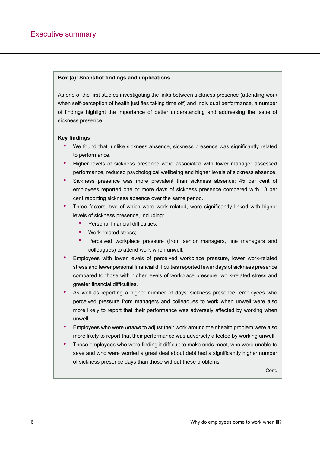#### <span id="page-5-0"></span>**Box (a): Snapshot findings and implications**

As one of the first studies investigating the links between sickness presence (attending work when self-perception of health justifies taking time off) and individual performance, a number of findings highlight the importance of better understanding and addressing the issue of sickness presence.

#### **Key findings**

- We found that, unlike sickness absence, sickness presence was significantly related to performance.
- Higher levels of sickness presence were associated with lower manager assessed performance, reduced psychological wellbeing and higher levels of sickness absence.
- Sickness presence was more prevalent than sickness absence: 45 per cent of employees reported one or more days of sickness presence compared with 18 per cent reporting sickness absence over the same period.
- Three factors, two of which were work related, were significantly linked with higher levels of sickness presence, including:
	- Personal financial difficulties;
	- Work-related stress:
	- Perceived workplace pressure (from senior managers, line managers and colleagues) to attend work when unwell.
- Employees with lower levels of perceived workplace pressure, lower work-related stress and fewer personal financial difficulties reported fewer days of sickness presence compared to those with higher levels of workplace pressure, work-related stress and greater financial difficulties.
- As well as reporting a higher number of days' sickness presence, employees who perceived pressure from managers and colleagues to work when unwell were also more likely to report that their performance was adversely affected by working when unwell.
- Employees who were *unable* to adjust their work around their health problem were also more likely to report that their performance was adversely affected by working unwell.
- Those employees who were finding it difficult to make ends meet, who were unable to save and who were worried a great deal about debt had a significantly higher number of sickness presence days than those without these problems.

Cont.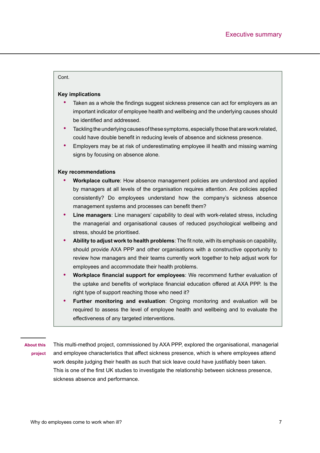#### Cont.

#### **Key implications**

- Taken as a whole the findings suggest sickness presence can act for employers as an important indicator of employee health and wellbeing and the underlying causes should be identified and addressed.
- Tackling the underlying causes of these symptoms, especially those that are work related, could have double benefit in reducing levels of absence and sickness presence.
- Employers may be at risk of underestimating employee ill health and missing warning signs by focusing on absence alone.

#### **Key recommendations**

- **• Workplace culture**: How absence management policies are understood and applied by managers at all levels of the organisation requires attention. Are policies applied consistently? Do employees understand how the company's sickness absence management systems and processes can benefit them?
- **• Line managers**: Line managers' capability to deal with work-related stress, including the managerial and organisational causes of reduced psychological wellbeing and stress, should be prioritised.
- **• Ability to adjust work to health problems**: The fit note, with its emphasis on capability, should provide AXA PPP and other organisations with a constructive opportunity to review how managers and their teams currently work together to help adjust work for employees and accommodate their health problems.
- **• Workplace financial support for employees**: We recommend further evaluation of the uptake and benefits of workplace financial education offered at AXA PPP. Is the right type of support reaching those who need it?
- **• Further monitoring and evaluation**: Ongoing monitoring and evaluation will be required to assess the level of employee health and wellbeing and to evaluate the effectiveness of any targeted interventions.

**About this project** This multi-method project, commissioned by AXA PPP, explored the organisational, managerial and employee characteristics that affect sickness presence, which is where employees attend work despite judging their health as such that sick leave could have justifiably been taken. This is one of the first UK studies to investigate the relationship between sickness presence, sickness absence and performance.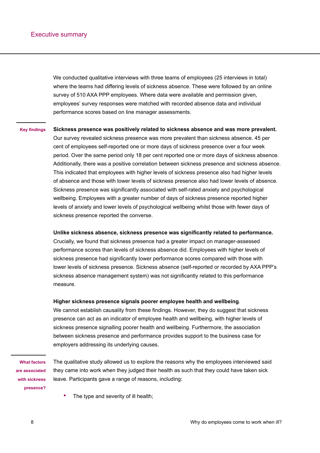We conducted qualitative interviews with three teams of employees (25 interviews in total) where the teams had differing levels of sickness absence. These were followed by an online survey of 510 AXA PPP employees. Where data were available and permission given, employees' survey responses were matched with recorded absence data and individual performance scores based on line manager assessments.

#### **Sickness presence was positively related to sickness absence and was more prevalent. Key findings**

Our survey revealed sickness presence was more prevalent than sickness absence. 45 per cent of employees self-reported one or more days of sickness presence over a four week period. Over the same period only 18 per cent reported one or more days of sickness absence. Additionally, there was a positive correlation between sickness presence and sickness absence. This indicated that employees with higher levels of sickness presence also had higher levels of absence and those with lower levels of sickness presence also had lower levels of absence. Sickness presence was significantly associated with self-rated anxiety and psychological wellbeing. Employees with a greater number of days of sickness presence reported higher levels of anxiety and lower levels of psychological wellbeing whilst those with fewer days of sickness presence reported the converse.

#### **Unlike sickness absence, sickness presence was significantly related to performance.**

Crucially, we found that sickness presence had a greater impact on manager-assessed performance scores than levels of sickness absence did. Employees with higher levels of sickness presence had significantly lower performance scores compared with those with lower levels of sickness presence. Sickness absence (self-reported or recorded by AXA PPP's sickness absence management system) was not significantly related to this performance measure.

#### **Higher sickness presence signals poorer employee health and wellbeing**.

We cannot establish causality from these findings. However, they do suggest that sickness presence can act as an indicator of employee health and wellbeing, with higher levels of sickness presence signalling poorer health and wellbeing. Furthermore, the association between sickness presence and performance provides support to the business case for employers addressing its underlying causes.

**What factors are associated with sickness presence?**

The qualitative study allowed us to explore the reasons why the employees interviewed said they came into work when they judged their health as such that they could have taken sick leave. Participants gave a range of reasons, including:

The type and severity of ill health;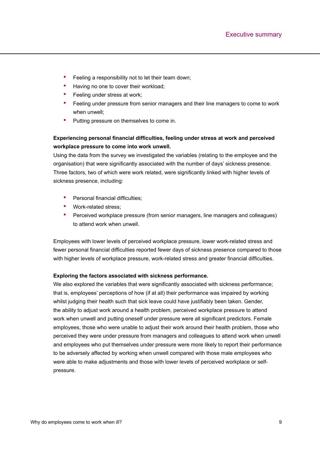- Feeling a responsibility not to let their team down;
- Having no one to cover their workload:
- Feeling under stress at work;
- Feeling under pressure from senior managers and their line managers to come to work when unwell;
- Putting pressure on themselves to come in.

# **Experiencing personal financial difficulties, feeling under stress at work and perceived workplace pressure to come into work unwell.**

Using the data from the survey we investigated the variables (relating to the employee and the organisation) that were significantly associated with the number of days' sickness presence. Three factors, two of which were work related, were significantly linked with higher levels of sickness presence, including:

- Personal financial difficulties:
- Work-related stress;
- Perceived workplace pressure (from senior managers, line managers and colleagues) to attend work when unwell.

Employees with lower levels of perceived workplace pressure, lower work-related stress and fewer personal financial difficulties reported fewer days of sickness presence compared to those with higher levels of workplace pressure, work-related stress and greater financial difficulties.

#### **Exploring the factors associated with sickness performance.**

We also explored the variables that were significantly associated with sickness performance; that is, employees' perceptions of how (if at all) their performance was impaired by working whilst judging their health such that sick leave could have justifiably been taken. Gender, the ability to adjust work around a health problem, perceived workplace pressure to attend work when unwell and putting oneself under pressure were all significant predictors. Female employees, those who were unable to adjust their work around their health problem, those who perceived they were under pressure from managers and colleagues to attend work when unwell and employees who put themselves under pressure were more likely to report their performance to be adversely affected by working when unwell compared with those male employees who were able to make adjustments and those with lower levels of perceived workplace or selfpressure.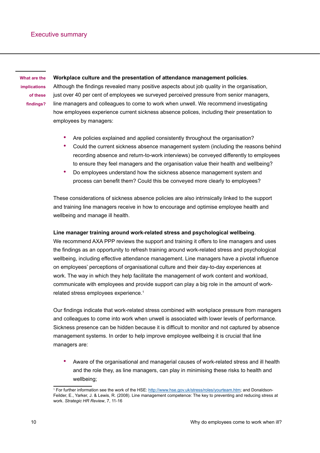**What are the implications of these findings?**

#### **Workplace culture and the presentation of attendance management policies**.

Although the findings revealed many positive aspects about job quality in the organisation, just over 40 per cent of employees we surveyed perceived pressure from senior managers, line managers and colleagues to come to work when unwell. We recommend investigating how employees experience current sickness absence polices, including their presentation to employees by managers:

- Are policies explained and applied consistently throughout the organisation?
- Could the current sickness absence management system (including the reasons behind recording absence and return-to-work interviews) be conveyed differently to employees to ensure they feel managers and the organisation value their health and wellbeing?
- Do employees understand how the sickness absence management system and process can benefit them? Could this be conveyed more clearly to employees?

These considerations of sickness absence policies are also intrinsically linked to the support and training line managers receive in how to encourage and optimise employee health and wellbeing and manage ill health.

#### **Line manager training around work-related stress and psychological wellbeing**.

We recommend AXA PPP reviews the support and training it offers to line managers and uses the findings as an opportunity to refresh training around work-related stress and psychological wellbeing, including effective attendance management. Line managers have a pivotal influence on employees' perceptions of organisational culture and their day-to-day experiences at work. The way in which they help facilitate the management of work content and workload, communicate with employees and provide support can play a big role in the amount of workrelated stress employees experience.<sup>1</sup>

Our findings indicate that work-related stress combined with workplace pressure from managers and colleagues to come into work when unwell is associated with lower levels of performance. Sickness presence can be hidden because it is difficult to monitor and not captured by absence management systems. In order to help improve employee wellbeing it is crucial that line managers are:

• Aware of the organisational and managerial causes of work-related stress and ill health and the role they, as line managers, can play in minimising these risks to health and wellbeing;

<sup>&</sup>lt;sup>1</sup> For further information see the work of the HSE: <u>http://www.hse.gov.uk/stress/roles/yourteam.htm</u>; and Donaldson-Feilder, E., Yarker, J. & Lewis, R. (2008). Line management competence: The key to preventing and reducing stress at work. *Strategic HR Review*, 7, 11-16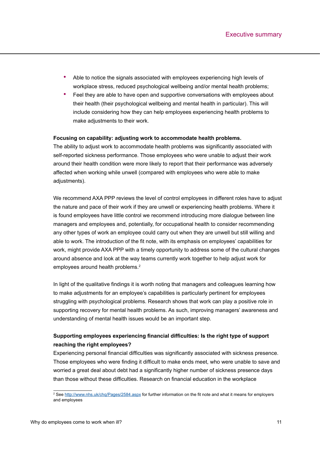- Able to notice the signals associated with employees experiencing high levels of workplace stress, reduced psychological wellbeing and/or mental health problems;
- Feel they are able to have open and supportive conversations with employees about their health (their psychological wellbeing and mental health in particular). This will include considering how they can help employees experiencing health problems to make adjustments to their work.

#### **Focusing on capability: adjusting work to accommodate health problems.**

The ability to adjust work to accommodate health problems was significantly associated with self-reported sickness performance. Those employees who were unable to adjust their work around their health condition were more likely to report that their performance was adversely affected when working while unwell (compared with employees who were able to make adiustments).

We recommend AXA PPP reviews the level of control employees in different roles have to adjust the nature and pace of their work if they are unwell or experiencing health problems. Where it is found employees have little control we recommend introducing more dialogue between line managers and employees and, potentially, for occupational health to consider recommending any other types of work an employee could carry out when they are unwell but still willing and able to work. The introduction of the fit note, with its emphasis on employees' capabilities for work, might provide AXA PPP with a timely opportunity to address some of the cultural changes around absence and look at the way teams currently work together to help adjust work for employees around health problems.<sup>2</sup>

In light of the qualitative findings it is worth noting that managers and colleagues learning how to make adjustments for an employee's capabilities is particularly pertinent for employees struggling with psychological problems. Research shows that work can play a positive role in supporting recovery for mental health problems. As such, improving managers' awareness and understanding of mental health issues would be an important step.

## **Supporting employees experiencing financial difficulties: Is the right type of support reaching the right employees?**

Experiencing personal financial difficulties was significantly associated with sickness presence. Those employees who were finding it difficult to make ends meet, who were unable to save and worried a great deal about debt had a significantly higher number of sickness presence days than those without these difficulties. Research on financial education in the workplace

<sup>&</sup>lt;sup>2</sup> See <u>http://www.nhs.uk/chq/Pages/2584.aspx</u> for further information on the fit note and what it means for employers and employees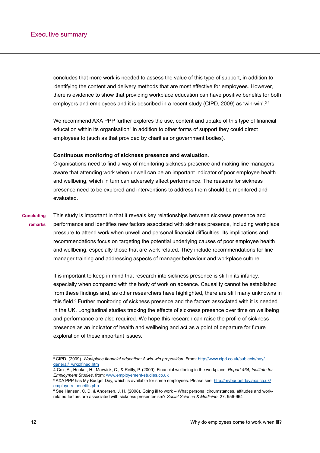concludes that more work is needed to assess the value of this type of support, in addition to identifying the content and delivery methods that are most effective for employees. However, there is evidence to show that providing workplace education can have positive benefits for both employers and employees and it is described in a recent study (CIPD, 2009) as 'win-win'.<sup>34</sup>

We recommend AXA PPP further explores the use, content and uptake of this type of financial education within its organisation<sup>5</sup> in addition to other forms of support they could direct employees to (such as that provided by charities or government bodies).

#### **Continuous monitoring of sickness presence and evaluation**.

Organisations need to find a way of monitoring sickness presence and making line managers aware that attending work when unwell can be an important indicator of poor employee health and wellbeing, which in turn can adversely affect performance. The reasons for sickness presence need to be explored and interventions to address them should be monitored and evaluated.

#### **Concluding remarks**

This study is important in that it reveals key relationships between sickness presence and performance and identifies new factors associated with sickness presence, including workplace pressure to attend work when unwell and personal financial difficulties. Its implications and recommendations focus on targeting the potential underlying causes of poor employee health and wellbeing, especially those that are work related. They include recommendations for line manager training and addressing aspects of manager behaviour and workplace culture.

It is important to keep in mind that research into sickness presence is still in its infancy, especially when compared with the body of work on absence. Causality cannot be established from these findings and, as other researchers have highlighted, there are still many unknowns in this field.<sup>6</sup> Further monitoring of sickness presence and the factors associated with it is needed in the UK. Longitudinal studies tracking the effects of sickness presence over time on wellbeing and performance are also required. We hope this research can raise the profile of sickness presence as an indicator of health and wellbeing and act as a point of departure for future exploration of these important issues.

<sup>3</sup> CIPD. (2009). *Workplace financial education: A win-win proposition*. From: [http://www.cipd.co.uk/subjects/pay/](http://www.cipd.co.uk/subjects/pay/general/_wrkplfined.htm) [general/\\_wrkplfined.ht](http://www.cipd.co.uk/subjects/pay/general/_wrkplfined.htm)m

<sup>4</sup> Cox, A., Hooker, H., Marwick, C., & Reilly, P. (2009). Financial wellbeing in the workplace. *Report 464, Institute for Employment Studies*, from:<www.employement-studies.co.uk>

<sup>&</sup>lt;sup>5</sup> AXA PPP has My Budget Day, which is available for some employees. Please see: <u>http://mybudgetday.axa.co.uk/</u> [employers\\_benefits.ph](http://mybudgetday.axa.co.uk/employers_benefits.php)p

<sup>6</sup> See Hansen, C. D. & Andersen, J. H. (2008). Going ill to work – What personal circumstances, attitudes and workrelated factors are associated with sickness presenteeism? *Social Science & Medicine*, 27, 956-964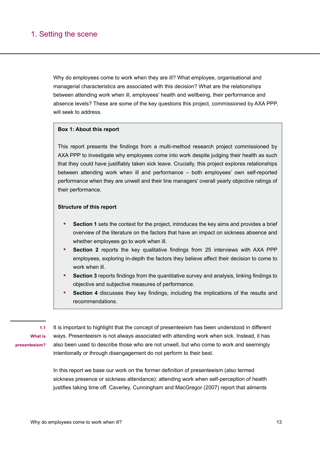# <span id="page-12-0"></span>1. Setting the scene

Why do employees come to work when they are ill? What employee, organisational and managerial characteristics are associated with this decision? What are the relationships between attending work when ill, employees' health and wellbeing, their performance and absence levels? These are some of the key questions this project, commissioned by AXA PPP, will seek to address.

#### **Box 1: About this report**

This report presents the findings from a multi-method research project commissioned by AXA PPP to investigate why employees come into work despite judging their health as such that they could have justifiably taken sick leave. Crucially, this project explores relationships between attending work when ill and performance – both employees' own self-reported performance when they are unwell and their line managers' overall yearly objective ratings of their performance.

#### **Structure of this report**

- **• Section 1** sets the context for the project, introduces the key aims and provides a brief overview of the literature on the factors that have an impact on sickness absence and whether employees go to work when ill.
- **Section 2** reports the key qualitative findings from 25 interviews with AXA PPP employees, exploring in-depth the factors they believe affect their decision to come to work when ill.
- **• Section 3** reports findings from the quantitative survey and analysis, linking findings to objective and subjective measures of performance.
- **• Section 4** discusses they key findings, including the implications of the results and recommendations.

**1.1 What is presenteeism?**

It is important to highlight that the concept of presenteeism has been understood in different ways. Presenteeism is not always associated with attending work when sick. Instead, it has also been used to describe those who are not unwell, but who come to work and seemingly intentionally or through disengagement do not perform to their best.

In this report we base our work on the former definition of presenteeism (also termed sickness presence or sickness attendance): attending work when self-perception of health justifies taking time off. Caverley, Cunningham and MacGregor (2007) report that ailments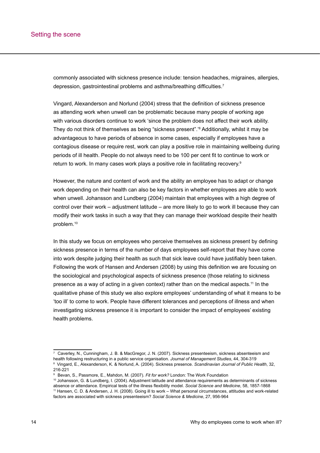commonly associated with sickness presence include: tension headaches, migraines, allergies, depression, gastrointestinal problems and asthma/breathing difficulties.<sup>7</sup>

Vingard, Alexanderson and Norlund (2004) stress that the definition of sickness presence as attending work when unwell can be problematic because many people of working age with various disorders continue to work 'since the problem does not affect their work ability. They do not think of themselves as being "sickness present".'8 Additionally, whilst it may be advantageous to have periods of absence in some cases, especially if employees have a contagious disease or require rest, work can play a positive role in maintaining wellbeing during periods of ill health. People do not always need to be 100 per cent fit to continue to work or return to work. In many cases work plays a positive role in facilitating recovery.9

However, the nature and content of work and the ability an employee has to adapt or change work depending on their health can also be key factors in whether employees are able to work when unwell. Johansson and Lundberg (2004) maintain that employees with a high degree of control over their work – adjustment latitude – are more likely to go to work ill because they can modify their work tasks in such a way that they can manage their workload despite their health problem.10

In this study we focus on employees who perceive themselves as sickness present by defining sickness presence in terms of the number of days employees self-report that they have come into work despite judging their health as such that sick leave could have justifiably been taken. Following the work of Hansen and Andersen (2008) by using this definition we are focusing on the sociological and psychological aspects of sickness presence (those relating to sickness presence as a way of acting in a given context) rather than on the medical aspects.<sup>11</sup> In the qualitative phase of this study we also explore employees' understanding of what it means to be 'too ill' to come to work. People have different tolerances and perceptions of illness and when investigating sickness presence it is important to consider the impact of employees' existing health problems.

<sup>7</sup> Caverley, N., Cunningham, J. B. & MacGregor, J. N. (2007). Sickness presenteeism, sickness absenteeism and health following restructuring in a public service organisation. Journal of Management Studies, 44, 304-319<br><sup>8</sup> Vingard, E., Alexanderson, K. & Norlund, A. (2004). Sickness presence. Scandinavian Journal of Public Health, 216-221<br><sup>9</sup> Bevan, S., Passmore, E., Mahdon, M. (2007). Fit for work? London: The Work Foundation

<sup>&</sup>lt;sup>10</sup> Johansson, G. & Lundberg, I. (2004). Adjustment latitude and attendance requirements as determinants of sickness<br>absence or attendance. Empirical tests of the illness flexibility model. Social Science and Medicine, 58 <sup>11</sup> Hansen, C. D. & Andersen, J. H. (2008). Going ill to work - What personal circumstances, attitudes and work-related factors are associated with sickness presenteeism? *Social Science & Medicine*, 27, 956-964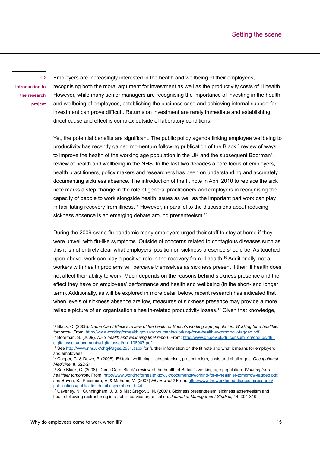<span id="page-14-0"></span>**1.2 Introduction to the research project** Employers are increasingly interested in the health and wellbeing of their employees, recognising both the moral argument for investment as well as the productivity costs of ill health. However, while many senior managers are recognising the importance of investing in the health and wellbeing of employees, establishing the business case and achieving internal support for investment can prove difficult. Returns on investment are rarely immediate and establishing direct cause and effect is complex outside of laboratory conditions.

Yet, the potential benefits are significant. The public policy agenda linking employee wellbeing to productivity has recently gained momentum following publication of the Black<sup>12</sup> review of ways to improve the health of the working age population in the UK and the subsequent Boorman<sup>13</sup> review of health and wellbeing in the NHS. In the last two decades a core focus of employers, health practitioners, policy makers and researchers has been on understanding and accurately documenting sickness absence. The introduction of the fit note in April 2010 to replace the sick note marks a step change in the role of general practitioners and employers in recognising the capacity of people to work alongside health issues as well as the important part work can play in facilitating recovery from illness.<sup>14</sup> However, in parallel to the discussions about reducing sickness absence is an emerging debate around presenteeism.<sup>15</sup>

During the 2009 swine flu pandemic many employers urged their staff to stay at home if they were unwell with flu-like symptoms. Outside of concerns related to contagious diseases such as this it is not entirely clear what employers' position on sickness presence should be. As touched upon above, work can play a positive role in the recovery from ill health.<sup>16</sup> Additionally, not all workers with health problems will perceive themselves as sickness present if their ill health does not affect their ability to work. Much depends on the reasons behind sickness presence and the effect they have on employees' performance and health and wellbeing (in the short- and longer term). Additionally, as will be explored in more detail below, recent research has indicated that when levels of sickness absence are low, measures of sickness presence may provide a more reliable picture of an organisation's health-related productivity losses.<sup>17</sup> Given that knowledge,

<sup>12</sup> Black, C. (2008). *Dame Carol Black's review of the health of Britain's working age population. Working for a healthier tomorrow.* From: <http://www.workingforhealth.gov.uk/documents/working-for-a-healthier-tomorrow-tagged.pdf> 13 Boorman, S. (2009). *NHS health and wellbeing final report*. From: [http://www.dh.gov.uk/dr\\_consum\\_dh/groups/dh\\_](http://www.dh.gov.uk/dr_consum_dh/groups/dh_digitalassets/documents/digitalasset/dh_108907.pdf) [digitalassets/documents/digitalasset/dh\\_108907.pdf](http://www.dh.gov.uk/dr_consum_dh/groups/dh_digitalassets/documents/digitalasset/dh_108907.pdf)

<sup>&</sup>lt;sup>14</sup> See<http://www.nhs.uk/chq/Pages/2584.aspx> for further information on the fit note and what it means for employers and employees

<sup>15</sup> Cooper, C. & Dewe, P. (2008). Editorial wellbeing – absenteeism, presenteeism, costs and challenges. *Occupational Medicine*, 8, 522-24

<sup>16</sup> See Black, C. (2008). Dame Carol Black's review of the health of Britain's working age population. *Working for a healthier tomorrow*. From:<http://www.workingforhealth.gov.uk/documents/working-for-a-healthier-tomorrow-tagged.pdf>; and Bevan, S., Passmore, E. & Mahdon, M. (2007) *Fit for work?* From: [http://www.theworkfoundation.com/research/](http://www.theworkfoundation.com/research/publications/publicationdetail.aspx?oItemId=44) [publications/publicationdetail.aspx?oItemId=44](http://www.theworkfoundation.com/research/publications/publicationdetail.aspx?oItemId=44)

<sup>17</sup> Caverley, N., Cunningham, J. B. & MacGregor, J. N. (2007). Sickness presenteeism, sickness absenteeism and health following restructuring in a public service organisation. *Journal of Management Studies*, 44, 304-319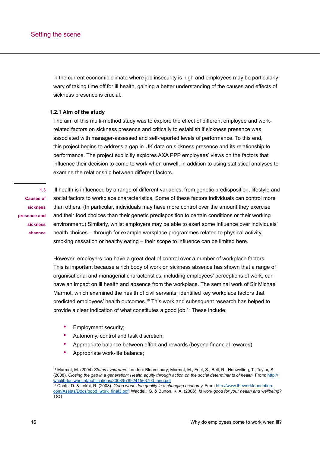<span id="page-15-0"></span>in the current economic climate where job insecurity is high and employees may be particularly wary of taking time off for ill health, gaining a better understanding of the causes and effects of sickness presence is crucial.

#### **1.2.1 Aim of the study**

The aim of this multi-method study was to explore the effect of different employee and workrelated factors on sickness presence and critically to establish if sickness presence was associated with manager-assessed and self-reported levels of performance. To this end, this project begins to address a gap in UK data on sickness presence and its relationship to performance. The project explicitly explores AXA PPP employees' views on the factors that influence their decision to come to work when unwell, in addition to using statistical analyses to examine the relationship between different factors.

**1.3 Causes of sickness presence and sickness absence**

Ill health is influenced by a range of different variables, from genetic predisposition, lifestyle and social factors to workplace characteristics. Some of these factors individuals can control more than others. (In particular, individuals may have more control over the amount they exercise and their food choices than their genetic predisposition to certain conditions or their working environment.) Similarly, whilst employers may be able to exert some influence over individuals' health choices – through for example workplace programmes related to physical activity, smoking cessation or healthy eating – their scope to influence can be limited here.

However, employers can have a great deal of control over a number of workplace factors. This is important because a rich body of work on sickness absence has shown that a range of organisational and managerial characteristics, including employees' perceptions of work, can have an impact on ill health and absence from the workplace. The seminal work of Sir Michael Marmot, which examined the health of civil servants, identified key workplace factors that predicted employees' health outcomes.18 This work and subsequent research has helped to provide a clear indication of what constitutes a good job.19 These include:

- Employment security;
- Autonomy, control and task discretion;
- Appropriate balance between effort and rewards (beyond financial rewards);
- Appropriate work-life balance;

<sup>18</sup> Marmot, M. (2004) *Status syndrome*. London: Bloomsbury; Marmot, M., Friel, S., Bell, R., Houwelling, T., Taylor, S. (2008). Closing the gap in a generation: Health equity through action on the social determinants of health. From: [http://](http://whqlibdoc.who.int/publications/2008/9789241563703_eng.pdf) [whqlibdoc.who.int/publications/2008/9789241563703\\_eng.pdf](http://whqlibdoc.who.int/publications/2008/9789241563703_eng.pdf)

<sup>&</sup>lt;sup>19</sup> Coats, D. & Lekhi, R. (2008). Good work: Job quality in a changing economy. From [http://www.theworkfoundation.](http://www.theworkfoundation.com/Assets/Docs/good_work_final3.pdf) [com/Assets/Docs/good\\_work\\_final3.pd](http://www.theworkfoundation.com/Assets/Docs/good_work_final3.pdf)f; Waddell, G, & Burton, K. A. (2006). *Is work good for your health and wellbeing?* TSO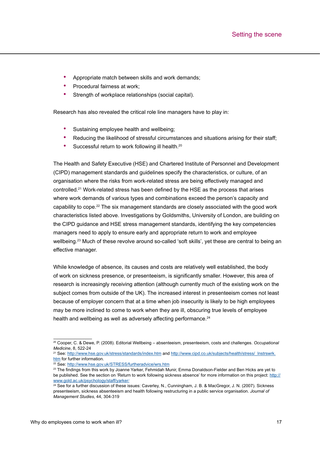- Appropriate match between skills and work demands;
- Procedural fairness at work:
- Strength of workplace relationships (social capital).

Research has also revealed the critical role line managers have to play in:

- Sustaining employee health and wellbeing:
- Reducing the likelihood of stressful circumstances and situations arising for their staff;
- Successful return to work following ill health.<sup>20</sup>

The Health and Safety Executive (HSE) and Chartered Institute of Personnel and Development (CIPD) management standards and guidelines specify the characteristics, or culture, of an organisation where the risks from work-related stress are being effectively managed and controlled.21 Work-related stress has been defined by the HSE as the process that arises where work demands of various types and combinations exceed the person's capacity and capability to cope.22 The six management standards are closely associated with the good work characteristics listed above. Investigations by Goldsmiths, University of London, are building on the CIPD guidance and HSE stress management standards, identifying the key competencies managers need to apply to ensure early and appropriate return to work and employee wellbeing.<sup>23</sup> Much of these revolve around so-called 'soft skills', yet these are central to being an effective manager.

While knowledge of absence, its causes and costs are relatively well established, the body of work on sickness presence, or presenteeism, is significantly smaller. However, this area of research is increasingly receiving attention (although currently much of the existing work on the subject comes from outside of the UK). The increased interest in presenteeism comes not least because of employer concern that at a time when job insecurity is likely to be high employees may be more inclined to come to work when they are ill, obscuring true levels of employee health and wellbeing as well as adversely affecting performance.<sup>24</sup>

<sup>20</sup> Cooper, C. & Dewe, P. (2008). Editorial Wellbeing – absenteeism, presenteeism, costs and challenges. *Occupational Medicine*, 8, 522-24

<sup>&</sup>lt;sup>21</sup> See:<http://www.hse.gov.uk/stress/standards/index.htm> and http://www.cipd.co.uk/subjects/health/stress/\_Instrswrk. [htm](http://www.cipd.co.uk/subjects/health/stress/_lnstrswrk.htm) for further information.<br><sup>22</sup> See:<http://www.hse.gov.uk/STRESS/furtheradvice/wrs.htm>

<sup>&</sup>lt;sup>23</sup> The findings from this work by Joanne Yarker, Fehmidah Munir, Emma Donaldson-Fielder and Ben Hicks are yet to be published. See the section on 'Return to work following sickness absence' for more information on this project: [http://](http://www.gold.ac.uk/psychology/staff/yarker/) [www.gold.ac.uk/psychology/staff/yarker](http://www.gold.ac.uk/psychology/staff/yarker/)/

 $24$  See for a further discussion of these issues: Caverley, N., Cunningham, J. B. & MacGregor, J. N. (2007). Sickness presenteeism, sickness absenteeism and health following restructuring in a public service organisation. *Journal of Management Studies*, 44, 304-319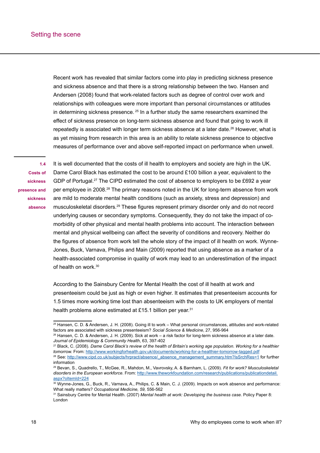<span id="page-17-0"></span>Recent work has revealed that similar factors come into play in predicting sickness presence and sickness absence and that there is a strong relationship between the two. Hansen and Andersen (2008) found that work-related factors such as degree of control over work and relationships with colleagues were more important than personal circumstances or attitudes in determining sickness presence.<sup>25</sup> In a further study the same researchers examined the effect of sickness presence on long-term sickness absence and found that going to work ill repeatedly is associated with longer term sickness absence at a later date.<sup>26</sup> However, what is as yet missing from research in this area is an ability to relate sickness presence to objective measures of performance over and above self-reported impact on performance when unwell.

**1.4 Costs of sickness presence and sickness absence**

It is well documented that the costs of ill health to employers and society are high in the UK. Dame Carol Black has estimated the cost to be around £100 billion a year, equivalent to the GDP of Portugal.<sup>27</sup> The CIPD estimated the cost of absence to employers to be £692 a year per employee in 2008.28 The primary reasons noted in the UK for long-term absence from work are mild to moderate mental health conditions (such as anxiety, stress and depression) and musculoskeletal disorders.29 These figures represent primary disorder only and do not record underlying causes or secondary symptoms. Consequently, they do not take the impact of comorbidity of other physical and mental health problems into account. The interaction between mental and physical wellbeing can affect the severity of conditions and recovery. Neither do the figures of absence from work tell the whole story of the impact of ill health on work. Wynne-Jones, Buck, Varnava, Philips and Main (2009) reported that using absence as a marker of a health-associated compromise in quality of work may lead to an underestimation of the impact of health on work.30

According to the Sainsbury Centre for Mental Health the cost of ill health at work and presenteeism could be just as high or even higher. It estimates that presenteeism accounts for 1.5 times more working time lost than absenteeism with the costs to UK employers of mental health problems alone estimated at £15.1 billion per year.<sup>31</sup>

<sup>25</sup> Hansen, C. D. & Andersen, J. H. (2008). Going ill to work – What personal circumstances, attitudes and work-related factors are associated with sickness presenteeism? *Social Science & Medicine*, 27, 956-964

<sup>26</sup> Hansen, C. D. & Andersen, J. H. (2009). Sick at work – a risk factor for long-term sickness absence at a later date. *Journal of Epidemiology & Community Health, 63, 397-402*<br><sup>27</sup> Black, C. (2008). *Dame Carol Black's review of the health of Britain's working age population. Working for a healthier* 

*tomorrow.* From: <http://www.workingforhealth.gov.uk/documents/working-for-a-healthier-tomorrow-tagged.pdf> <sup>28</sup> See: [http://www.cipd.co.uk/subjects/hrpract/absence/\\_absence\\_management\\_summary.htm?IsSrchRes=1](http://www.cipd.co.uk/subjects/hrpract/absence/_absence_management_summary.htm?IsSrchRes=1) for further information

<sup>29</sup> Bevan, S., Quadrello, T., McGee, R., Mahdon, M., Vavrovsky, A. & Barnham, L. (2009). *Fit for work? Musculoskeletal disorders in the European workforce*. From: [http://www.theworkfoundation.com/research/publications/publicationdetail.](http://www.theworkfoundation.com/research/publications/publicationdetail.aspx?oItemId=224) [aspx?oItemId=224](http://www.theworkfoundation.com/research/publications/publicationdetail.aspx?oItemId=224)

<sup>30</sup> Wynne-Jones, G., Buck, R., Varnava, A., Philips, C. & Main, C. J. (2009). Impacts on work absence and performance: What really matters? *Occupational Medicine, 59,* 556-562

<sup>31</sup> Sainsbury Centre for Mental Health. (2007) *Mental health at work: Developing the business case.* Policy Paper 8: London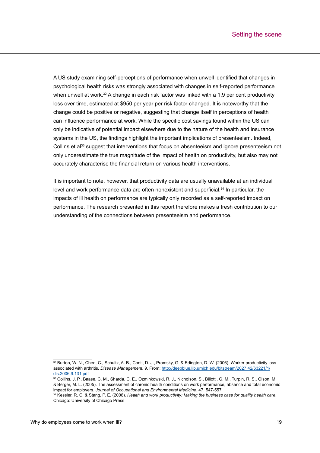A US study examining self-perceptions of performance when unwell identified that changes in psychological health risks was strongly associated with changes in self-reported performance when unwell at work.<sup>32</sup> A change in each risk factor was linked with a 1.9 per cent productivity loss over time, estimated at \$950 per year per risk factor changed. It is noteworthy that the change could be positive or negative, suggesting that change itself in perceptions of health can influence performance at work. While the specific cost savings found within the US can only be indicative of potential impact elsewhere due to the nature of the health and insurance systems in the US, the findings highlight the important implications of presenteeism. Indeed, Collins et al<sup>33</sup> suggest that interventions that focus on absenteeism and ignore presenteeism not only underestimate the true magnitude of the impact of health on productivity, but also may not accurately characterise the financial return on various health interventions.

It is important to note, however, that productivity data are usually unavailable at an individual level and work performance data are often nonexistent and superficial.<sup>34</sup> In particular, the impacts of ill health on performance are typically only recorded as a self-reported impact on performance. The research presented in this report therefore makes a fresh contribution to our understanding of the connections between presenteeism and performance.

<sup>32</sup> Burton, W. N., Chen, C., Schultz, A. B., Conti, D. J., Pramsky, G. & Edington, D. W. (2006). Worker productivity loss associated with arthritis. *Disease Management*, 9, From: [http://deepblue.lib.umich.edu/bitstream/2027.42/63221/1/](http://deepblue.lib.umich.edu/bitstream/2027.42/63221/1/dis.2006.9.131.pdf) [dis.2006.9.131.pdf](http://deepblue.lib.umich.edu/bitstream/2027.42/63221/1/dis.2006.9.131.pdf)

<sup>33</sup> Collins, J. P., Baase, C. M., Sharda, C. E., Ozminkowski, R. J., Nicholson, S., Billotti, G. M., Turpin, R. S., Olson, M. & Berger, M. L. (2005). The assessment of chronic health conditions on work performance, absence and total economic impact for employers. *Journal of Occupational and Environmental Medicine*, 47, 547-557

<sup>34</sup> Kessler, R. C. & Stang, P. E. (2006). *Health and work productivity: Making the business case for quality health care.*  Chicago: University of Chicago Press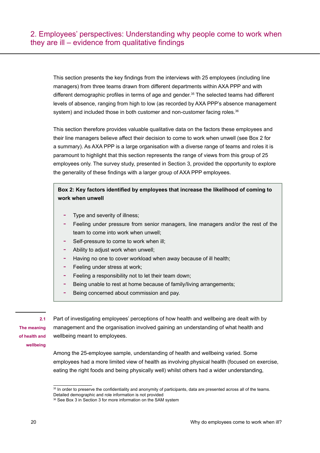<span id="page-19-0"></span>This section presents the key findings from the interviews with 25 employees (including line managers) from three teams drawn from different departments within AXA PPP and with different demographic profiles in terms of age and gender.<sup>35</sup> The selected teams had different levels of absence, ranging from high to low (as recorded by AXA PPP's absence management system) and included those in both customer and non-customer facing roles.<sup>36</sup>

This section therefore provides valuable qualitative data on the factors these employees and their line managers believe affect their decision to come to work when unwell (see Box 2 for a summary). As AXA PPP is a large organisation with a diverse range of teams and roles it is paramount to highlight that this section represents the range of views from this group of 25 employees only. The survey study, presented in Section 3, provided the opportunity to explore the generality of these findings with a larger group of AXA PPP employees.

# **Box 2: Key factors identified by employees that increase the likelihood of coming to work when unwell**

- Type and severity of illness;
- Feeling under pressure from senior managers, line managers and/or the rest of the team to come into work when unwell;
- Self-pressure to come to work when ill;
- Ability to adjust work when unwell;
- Having no one to cover workload when away because of ill health;
- Feeling under stress at work;
- Feeling a responsibility not to let their team down;
- Being unable to rest at home because of family/living arrangements;
- Being concerned about commission and pay.

# **2.1**

**The meaning of health and wellbeing**

Part of investigating employees' perceptions of how health and wellbeing are dealt with by management and the organisation involved gaining an understanding of what health and wellbeing meant to employees.

Among the 25-employee sample, understanding of health and wellbeing varied. Some employees had a more limited view of health as involving physical health (focused on exercise, eating the right foods and being physically well) whilst others had a wider understanding,

<sup>&</sup>lt;sup>35</sup> In order to preserve the confidentiality and anonymity of participants, data are presented across all of the teams.

Detailed demographic and role information is not provided

<sup>&</sup>lt;sup>36</sup> See Box 3 in Section 3 for more information on the SAM system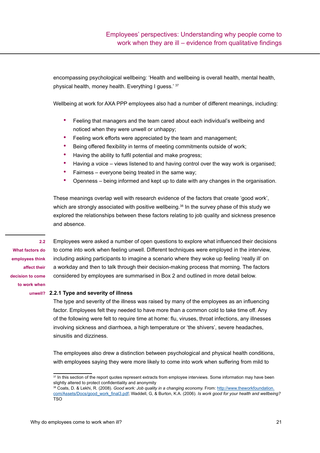<span id="page-20-0"></span>encompassing psychological wellbeing: 'Health and wellbeing is overall health, mental health, physical health, money health. Everything I guess.' 37

Wellbeing at work for AXA PPP employees also had a number of different meanings, including:

- Feeling that managers and the team cared about each individual's wellbeing and noticed when they were unwell or unhappy;
- Feeling work efforts were appreciated by the team and management;
- Being offered flexibility in terms of meeting commitments outside of work;
- Having the ability to fulfil potential and make progress;
- Having a voice views listened to and having control over the way work is organised;
- Fairness everyone being treated in the same way;
- Openness being informed and kept up to date with any changes in the organisation.

These meanings overlap well with research evidence of the factors that create 'good work', which are strongly associated with positive wellbeing. $38$  In the survey phase of this study we explored the relationships between these factors relating to job quality and sickness presence and absence.

**2.2** 

**What factors do employees think affect their decision to come to work when** 

Employees were asked a number of open questions to explore what influenced their decisions to come into work when feeling unwell. Different techniques were employed in the interview, including asking participants to imagine a scenario where they woke up feeling 'really ill' on a workday and then to talk through their decision-making process that morning. The factors considered by employees are summarised in Box 2 and outlined in more detail below.

#### **unwell? 2.2.1 Type and severity of illness**

The type and severity of the illness was raised by many of the employees as an influencing factor. Employees felt they needed to have more than a common cold to take time off. Any of the following were felt to require time at home: flu, viruses, throat infections, any illnesses involving sickness and diarrhoea, a high temperature or 'the shivers', severe headaches, sinusitis and dizziness.

The employees also drew a distinction between psychological and physical health conditions, with employees saying they were more likely to come into work when suffering from mild to

 $37$  In this section of the report quotes represent extracts from employee interviews. Some information may have been slightly altered to protect confidentiality and anonymity

<sup>38</sup> Coats, D. & Lekhi, R. (2008). *Good work: Job quality in a changing economy.* From: [http://www.theworkfoundation.](http://www.theworkfoundation.com/Assets/Docs/good_work_final3.pdf) [com/Assets/Docs/good\\_work\\_final3.pd](http://www.theworkfoundation.com/Assets/Docs/good_work_final3.pdf)f; Waddell, G, & Burton, K.A. (2006). *Is work good for your health and wellbeing?* TSO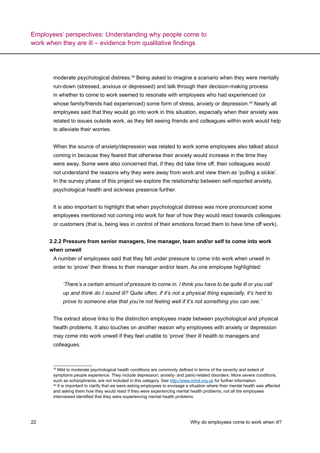moderate psychological distress.39 Being asked to imagine a scenario when they were mentally run-down (stressed, anxious or depressed) and talk through their decision-making process in whether to come to work seemed to resonate with employees who had experienced (or whose family/friends had experienced) some form of stress, anxiety or depression.<sup>40</sup> Nearly all employees said that they would go into work in this situation, especially when their anxiety was related to issues outside work, as they felt seeing friends and colleagues within work would help to alleviate their worries.

When the source of anxiety/depression was related to work some employees also talked about coming in because they feared that otherwise their anxiety would increase in the time they were away. Some were also concerned that, if they did take time off, their colleagues would not understand the reasons why they were away from work and view them as 'pulling a sickie'. In the survey phase of this project we explore the relationship between self-reported anxiety, psychological health and sickness presence further.

It is also important to highlight that when psychological distress was more pronounced some employees mentioned not coming into work for fear of how they would react towards colleagues or customers (that is, being less in control of their emotions forced them to have time off work).

# **2.2.2 Pressure from senior managers, line manager, team and/or self to come into work when unwell**

A number of employees said that they felt under pressure to come into work when unwell in order to 'prove' their illness to their manager and/or team. As one employee highlighted:

*'There's a certain amount of pressure to come in. I think you have to be quite ill or you call up and think do I sound ill? Quite often, if it's not a physical thing especially, it's hard to prove to someone else that you're not feeling well if it's not something you can see.'* 

The extract above links to the distinction employees made between psychological and physical health problems. It also touches on another reason why employees with anxiety or depression may come into work unwell if they feel unable to 'prove' their ill health to managers and colleagues.

<sup>&</sup>lt;sup>39</sup> Mild to moderate psychological health conditions are commonly defined in terms of the severity and extent of symptoms people experience. They include depression, anxiety- and panic-related disorders. More severe conditions,<br>such as schizophrenia, are not included in this category. See http://www.mind.org.uk for further informatio <sup>40</sup> It is important to clarify that we were asking employees to envisage a situation where their mental health was affected and asking them how they would react if they were experiencing mental health problems; not all the employees interviewed identified that they were experiencing mental health problems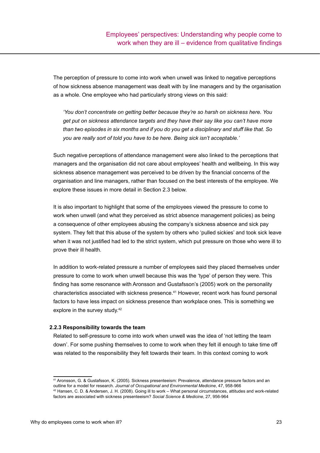The perception of pressure to come into work when unwell was linked to negative perceptions of how sickness absence management was dealt with by line managers and by the organisation as a whole. One employee who had particularly strong views on this said:

*'You don't concentrate on getting better because they're so harsh on sickness here. You get put on sickness attendance targets and they have their say like you can't have more than two episodes in six months and if you do you get a disciplinary and stuff like that. So you are really sort of told you have to be here. Being sick isn't acceptable.'*

Such negative perceptions of attendance management were also linked to the perceptions that managers and the organisation did not care about employees' health and wellbeing. In this way sickness absence management was perceived to be driven by the financial concerns of the organisation and line managers, rather than focused on the best interests of the employee. We explore these issues in more detail in Section 2.3 below.

It is also important to highlight that some of the employees viewed the pressure to come to work when unwell (and what they perceived as strict absence management policies) as being a consequence of other employees abusing the company's sickness absence and sick pay system. They felt that this abuse of the system by others who 'pulled sickies' and took sick leave when it was not justified had led to the strict system, which put pressure on those who were ill to prove their ill health.

In addition to work-related pressure a number of employees said they placed themselves under pressure to come to work when unwell because this was the 'type' of person they were. This finding has some resonance with Aronsson and Gustafsson's (2005) work on the personality characteristics associated with sickness presence.<sup>41</sup> However, recent work has found personal factors to have less impact on sickness presence than workplace ones. This is something we explore in the survey study.<sup>42</sup>

#### **2.2.3 Responsibility towards the team**

Related to self-pressure to come into work when unwell was the idea of 'not letting the team down'. For some pushing themselves to come to work when they felt ill enough to take time off was related to the responsibility they felt towards their team. In this context coming to work

<sup>41</sup> Aronsson, G. & Gustafsson, K. (2005). Sickness presenteeism: Prevalence, attendance pressure factors and an

outline for a model for research. *Journal of Occupational and Environmental Medicine*, 47, 958-966 42 Hansen, C. D. & Andersen, J. H. (2008). Going ill to work – What personal circumstances, attitudes and work-related factors are associated with sickness presenteeism? *Social Science & Medicine*, 27, 956-964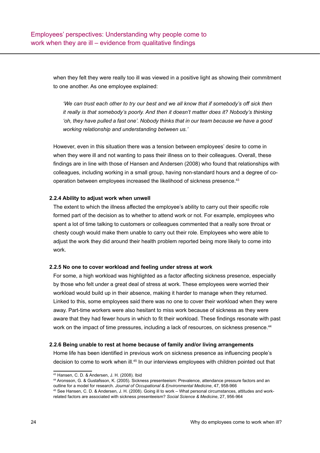when they felt they were really too ill was viewed in a positive light as showing their commitment to one another. As one employee explained:

*'We can trust each other to try our best and we all know that if somebody's off sick then it really is that somebody's poorly. And then it doesn't matter does it? Nobody's thinking 'oh, they have pulled a fast one'. Nobody thinks that in our team because we have a good working relationship and understanding between us.'*

However, even in this situation there was a tension between employees' desire to come in when they were ill and not wanting to pass their illness on to their colleagues. Overall, these findings are in line with those of Hansen and Andersen (2008) who found that relationships with colleagues, including working in a small group, having non-standard hours and a degree of cooperation between employees increased the likelihood of sickness presence.43

#### **2.2.4 Ability to adjust work when unwell**

The extent to which the illness affected the employee's ability to carry out their specific role formed part of the decision as to whether to attend work or not. For example, employees who spent a lot of time talking to customers or colleagues commented that a really sore throat or chesty cough would make them unable to carry out their role. Employees who were able to adjust the work they did around their health problem reported being more likely to come into work.

#### **2.2.5 No one to cover workload and feeling under stress at work**

For some, a high workload was highlighted as a factor affecting sickness presence, especially by those who felt under a great deal of stress at work. These employees were worried their workload would build up in their absence, making it harder to manage when they returned. Linked to this, some employees said there was no one to cover their workload when they were away. Part-time workers were also hesitant to miss work because of sickness as they were aware that they had fewer hours in which to fit their workload. These findings resonate with past work on the impact of time pressures, including a lack of resources, on sickness presence.<sup>44</sup>

#### **2.2.6 Being unable to rest at home because of family and/or living arrangements**

Home life has been identified in previous work on sickness presence as influencing people's decision to come to work when ill.<sup>45</sup> In our interviews employees with children pointed out that

<sup>43</sup> Hansen, C. D. & Andersen, J. H. (2008). Ibid

<sup>44</sup> Aronsson, G. & Gustafsson, K. (2005). Sickness presenteeism: Prevalence, attendance pressure factors and an outline for a model for research. *Journal of Occupational & Environmental Medicine*, 47, 958-966

<sup>45</sup> See Hansen, C. D. & Andersen, J. H. (2008). Going ill to work – What personal circumstances, attitudes and workrelated factors are associated with sickness presenteeism? *Social Science & Medicine*, 27, 956-964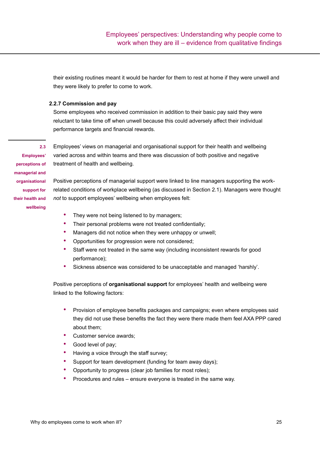<span id="page-24-0"></span>their existing routines meant it would be harder for them to rest at home if they were unwell and they were likely to prefer to come to work.

### **2.2.7 Commission and pay**

Some employees who received commission in addition to their basic pay said they were reluctant to take time off when unwell because this could adversely affect their individual performance targets and financial rewards.

**Employees' perceptions of managerial and organisational support for their health and wellbeing**

**2.3** 

Employees' views on managerial and organisational support for their health and wellbeing varied across and within teams and there was discussion of both positive and negative treatment of health and wellbeing.

Positive perceptions of managerial support were linked to line managers supporting the workrelated conditions of workplace wellbeing (as discussed in Section 2.1). Managers were thought *not* to support employees' wellbeing when employees felt:

- They were not being listened to by managers;
- Their personal problems were not treated confidentially;
- Managers did not notice when they were unhappy or unwell;
- Opportunities for progression were not considered;
- Staff were not treated in the same way (including inconsistent rewards for good performance);
- Sickness absence was considered to be unacceptable and managed 'harshly'.

Positive perceptions of **organisational support** for employees' health and wellbeing were linked to the following factors:

- Provision of employee benefits packages and campaigns; even where employees said they did not use these benefits the fact they were there made them feel AXA PPP cared about them;
- Customer service awards;
- Good level of pay;
- Having a voice through the staff survey;
- Support for team development (funding for team away days);
- Opportunity to progress (clear job families for most roles);
- Procedures and rules ensure everyone is treated in the same way.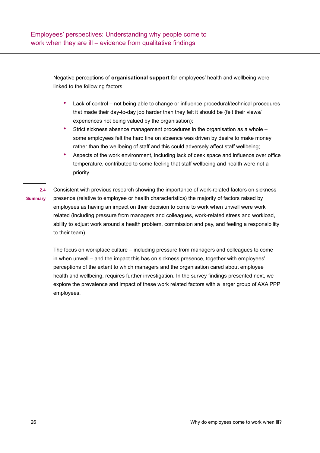<span id="page-25-0"></span>Negative perceptions of **organisational support** for employees' health and wellbeing were linked to the following factors:

- Lack of control not being able to change or influence procedural/technical procedures that made their day-to-day job harder than they felt it should be (felt their views/ experiences not being valued by the organisation);
- Strict sickness absence management procedures in the organisation as a whole some employees felt the hard line on absence was driven by desire to make money rather than the wellbeing of staff and this could adversely affect staff wellbeing;
- Aspects of the work environment, including lack of desk space and influence over office temperature, contributed to some feeling that staff wellbeing and health were not a priority.

Consistent with previous research showing the importance of work-related factors on sickness presence (relative to employee or health characteristics) the majority of factors raised by employees as having an impact on their decision to come to work when unwell were work related (including pressure from managers and colleagues, work-related stress and workload, ability to adjust work around a health problem, commission and pay, and feeling a responsibility to their team). **2.4 Summary**

> The focus on workplace culture – including pressure from managers and colleagues to come in when unwell – and the impact this has on sickness presence, together with employees' perceptions of the extent to which managers and the organisation cared about employee health and wellbeing, requires further investigation. In the survey findings presented next, we explore the prevalence and impact of these work related factors with a larger group of AXA PPP employees.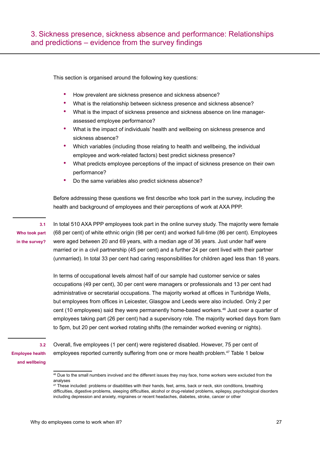<span id="page-26-0"></span>This section is organised around the following key questions:

- How prevalent are sickness presence and sickness absence?
- What is the relationship between sickness presence and sickness absence?
- What is the impact of sickness presence and sickness absence on line managerassessed employee performance?
- What is the impact of individuals' health and wellbeing on sickness presence and sickness absence?
- Which variables (including those relating to health and wellbeing, the individual employee and work-related factors) best predict sickness presence?
- What predicts employee perceptions of the impact of sickness presence on their own performance?
- Do the same variables also predict sickness absence?

Before addressing these questions we first describe who took part in the survey, including the health and background of employees and their perceptions of work at AXA PPP.

**Who took part in the survey?**

**3.1** 

In total 510 AXA PPP employees took part in the online survey study. The majority were female (68 per cent) of white ethnic origin (98 per cent) and worked full-time (86 per cent). Employees were aged between 20 and 69 years, with a median age of 36 years. Just under half were married or in a civil partnership (45 per cent) and a further 24 per cent lived with their partner (unmarried). In total 33 per cent had caring responsibilities for children aged less than 18 years.

In terms of occupational levels almost half of our sample had customer service or sales occupations (49 per cent), 30 per cent were managers or professionals and 13 per cent had administrative or secretarial occupations. The majority worked at offices in Tunbridge Wells, but employees from offices in Leicester, Glasgow and Leeds were also included. Only 2 per cent (10 employees) said they were permanently home-based workers.<sup>46</sup> Just over a quarter of employees taking part (26 per cent) had a supervisory role. The majority worked days from 9am to 5pm, but 20 per cent worked rotating shifts (the remainder worked evening or nights).

**3.2 Employee health and wellbeing**

Overall, five employees (1 per cent) were registered disabled. However, 75 per cent of employees reported currently suffering from one or more health problem.47 Table 1 below

<sup>&</sup>lt;sup>46</sup> Due to the small numbers involved and the different issues they may face, home workers were excluded from the analyses

<sup>&</sup>lt;sup>47</sup> These included: problems or disabilities with their hands, feet, arms, back or neck, skin conditions, breathing difficulties, digestive problems, sleeping difficulties, alcohol or drug-related problems, epilepsy, psychological disorders including depression and anxiety, migraines or recent headaches, diabetes, stroke, cancer or other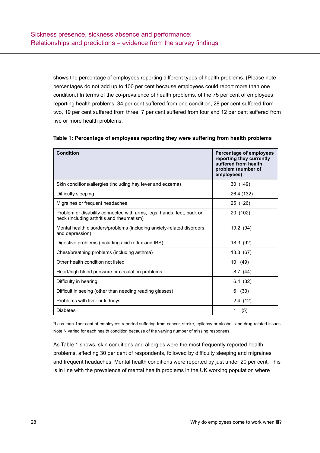shows the percentage of employees reporting different types of health problems. (Please note percentages do not add up to 100 per cent because employees could report more than one condition.) In terms of the co-prevalence of health problems, of the 75 per cent of employees reporting health problems, 34 per cent suffered from one condition, 28 per cent suffered from two, 19 per cent suffered from three, 7 per cent suffered from four and 12 per cent suffered from five or more health problems.

| <b>Condition</b>                                                                                                   | Percentage of employees<br>reporting they currently<br>suffered from health<br>problem (number of<br>employees) |
|--------------------------------------------------------------------------------------------------------------------|-----------------------------------------------------------------------------------------------------------------|
| Skin conditions/allergies (including hay fever and eczema)                                                         | 30 (149)                                                                                                        |
| Difficulty sleeping                                                                                                | 26.4 (132)                                                                                                      |
| Migraines or frequent headaches                                                                                    | 25 (126)                                                                                                        |
| Problem or disability connected with arms, legs, hands, feet, back or<br>neck (including arthritis and rheumatism) | 20 (102)                                                                                                        |
| Mental health disorders/problems (including anxiety-related disorders<br>and depression)                           | 19.2 (94)                                                                                                       |
| Digestive problems (including acid reflux and IBS)                                                                 | 18.3 (92)                                                                                                       |
| Chest/breathing problems (including asthma)                                                                        | 13.3(67)                                                                                                        |
| Other health condition not listed                                                                                  | 10 (49)                                                                                                         |
| Heart/high blood pressure or circulation problems                                                                  | 8.7(44)                                                                                                         |
| Difficulty in hearing                                                                                              | 6.4(32)                                                                                                         |
| Difficult in seeing (other than needing reading glasses)                                                           | (30)<br>6                                                                                                       |
| Problems with liver or kidneys                                                                                     | 2.4(12)                                                                                                         |
| <b>Diabetes</b>                                                                                                    | (5)<br>1                                                                                                        |

\*Less than 1per cent of employees reported suffering from cancer, stroke, epilepsy or alcohol- and drug-related issues. Note N varied for each health condition because of the varying number of missing responses.

As Table 1 shows, skin conditions and allergies were the most frequently reported health problems, affecting 30 per cent of respondents, followed by difficulty sleeping and migraines and frequent headaches. Mental health conditions were reported by just under 20 per cent. This is in line with the prevalence of mental health problems in the UK working population where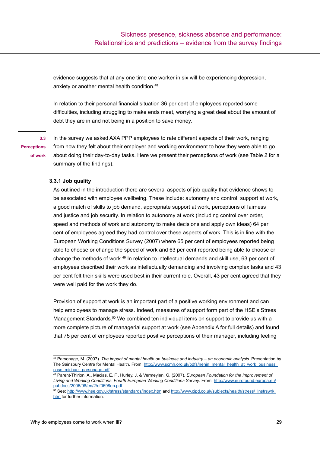<span id="page-28-0"></span>evidence suggests that at any one time one worker in six will be experiencing depression, anxiety or another mental health condition.<sup>48</sup>

In relation to their personal financial situation 36 per cent of employees reported some difficulties, including struggling to make ends meet, worrying a great deal about the amount of debt they are in and not being in a position to save money.

**3.3 Perceptions** 

**of work**

In the survey we asked AXA PPP employees to rate different aspects of their work, ranging from how they felt about their employer and working environment to how they were able to go about doing their day-to-day tasks. Here we present their perceptions of work (see Table 2 for a summary of the findings).

#### **3.3.1 Job quality**

As outlined in the introduction there are several aspects of job quality that evidence shows to be associated with employee wellbeing. These include: autonomy and control, support at work, a good match of skills to job demand, appropriate support at work, perceptions of fairness and justice and job security. In relation to autonomy at work (including control over order, speed and methods of work and autonomy to make decisions and apply own ideas) 64 per cent of employees agreed they had control over these aspects of work. This is in line with the European Working Conditions Survey (2007) where 65 per cent of employees reported being able to choose or change the speed of work and 63 per cent reported being able to choose or change the methods of work.49 In relation to intellectual demands and skill use, 63 per cent of employees described their work as intellectually demanding and involving complex tasks and 43 per cent felt their skills were used best in their current role. Overall, 43 per cent agreed that they were well paid for the work they do.

Provision of support at work is an important part of a positive working environment and can help employees to manage stress. Indeed, measures of support form part of the HSE's Stress Management Standards.<sup>50</sup> We combined ten individual items on support to provide us with a more complete picture of managerial support at work (see Appendix A for full details) and found that 75 per cent of employees reported positive perceptions of their manager, including feeling

<sup>48</sup> Parsonage, M. (2007). *The impact of mental health on business and industry – an economic analysis.* Presentation by The Sainsbury Centre for Mental Health. From: http://www.scmh.org.uk/pdfs/nehin\_mental\_health\_at\_work\_business [case\\_michael\\_parsonage.pdf](http://www.scmh.org.uk/pdfs/nehin_mental_health_at_work_business_case_michael_parsonage.pdf)

<sup>49</sup> Parent-Thirion, A., Macias, E. F., Hurley, J. & Vermeylen, G. (2007). *European Foundation for the Improvement of Living and Working Conditions: Fourth European Working Conditions Survey*. From: [http://www.eurofound.europa.eu/](http://www.eurofound.europa.eu/pubdocs/2006/98/en/2/ef0698en.pdf) [pubdocs/2006/98/en/2/ef0698en.pdf](http://www.eurofound.europa.eu/pubdocs/2006/98/en/2/ef0698en.pdf)

<sup>50</sup> See:<http://www.hse.gov.uk/stress/standards/index.htm> and http://www.cipd.co.uk/subjects/health/stress/\_Instrswrk. [htm](http://www.cipd.co.uk/subjects/health/stress/_lnstrswrk.htm) for further information.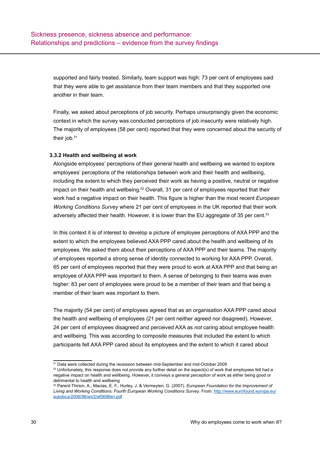supported and fairly treated. Similarly, team support was high: 73 per cent of employees said that they were able to get assistance from their team members and that they supported one another in their team.

Finally, we asked about perceptions of job security. Perhaps unsurprisingly given the economic context in which the survey was conducted perceptions of job insecurity were relatively high. The majority of employees (58 per cent) reported that they were concerned about the security of their job.<sup>51</sup>

### **3.3.2 Health and wellbeing at work**

Alongside employees' perceptions of their general health and wellbeing we wanted to explore employees' perceptions of the relationships between work and their health and wellbeing, including the extent to which they perceived their work as having a positive, neutral or negative impact on their health and wellbeing.<sup>52</sup> Overall, 31 per cent of employees reported that their work had a negative impact on their health. This figure is higher than the most recent *European Working Conditions Survey* where 21 per cent of employees in the UK reported that their work adversely affected their health. However, it is lower than the EU aggregate of 35 per cent.<sup>53</sup>

In this context it is of interest to develop a picture of employee perceptions of AXA PPP and the extent to which the employees believed AXA PPP cared about the health and wellbeing of its employees. We asked them about their perceptions of AXA PPP and their teams. The majority of employees reported a strong sense of identity connected to working for AXA PPP. Overall, 65 per cent of employees reported that they were proud to work at AXA PPP and that being an employee of AXA PPP was important to them. A sense of belonging to their teams was even higher: 83 per cent of employees were proud to be a member of their team and that being a member of their team was important to them.

The majority (54 per cent) of employees agreed that as an organisation AXA PPP cared about the health and wellbeing of employees (21 per cent neither agreed nor disagreed). However, 24 per cent of employees disagreed and perceived AXA as *not* caring about employee health and wellbeing. This was according to composite measures that included the extent to which participants felt AXA PPP cared about its employees and the extent to which it cared about

<sup>51</sup> Data were collected during the recession between mid-September and mid-October 2009

 $52$  Unfortunately, this response does not provide any further detail on the aspect(s) of work that employees felt had a negative impact on health and wellbeing. However, it conveys a general perception of work as either being good or detrimental to health and wellbeing

<sup>53</sup> Parent-Thirion, A., Macias, E. F., Hurley, J. & Vermeylen, G. (2007). *European Foundation for the Improvement of Living and Working Conditions: Fourth European Working Conditions Survey*. From: [http://www.eurofound.europa.eu/](http://www.eurofound.europa.eu/pubdocs/2006/98/en/2/ef0698en.pdf) [pubdocs/2006/98/en/2/ef0698en.pdf](http://www.eurofound.europa.eu/pubdocs/2006/98/en/2/ef0698en.pdf)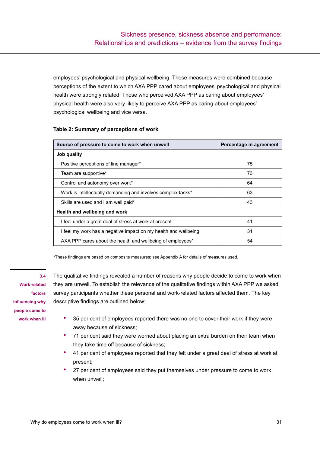<span id="page-30-0"></span>employees' psychological and physical wellbeing. These measures were combined because perceptions of the extent to which AXA PPP cared about employees' psychological and physical health were strongly related. Those who perceived AXA PPP as caring about employees' physical health were also very likely to perceive AXA PPP as caring about employees' psychological wellbeing and vice versa.

| Source of pressure to come to work when unwell                  | Percentage in agreement |
|-----------------------------------------------------------------|-------------------------|
| Job quality                                                     |                         |
| Positive perceptions of line manager*                           | 75                      |
| Team are supportive*                                            | 73                      |
| Control and autonomy over work*                                 | 64                      |
| Work is intellectually demanding and involves complex tasks*    | 63                      |
| Skills are used and I am well paid*                             | 43                      |
| Health and wellbeing and work                                   |                         |
| I feel under a great deal of stress at work at present          | 41                      |
| I feel my work has a negative impact on my health and wellbeing | 31                      |
| AXA PPP cares about the health and wellbeing of employees*      | 54                      |

\*These findings are based on composite measures; see Appendix A for details of measures used.

**Work-related factors influencing why people come to work when ill**

**3.4** 

The qualitative findings revealed a number of reasons why people decide to come to work when they are unwell. To establish the relevance of the qualitative findings within AXA PPP we asked survey participants whether these personal and work-related factors affected them. The key descriptive findings are outlined below:

- 35 per cent of employees reported there was no one to cover their work if they were away because of sickness;
- 71 per cent said they were worried about placing an extra burden on their team when they take time off because of sickness;
- 41 per cent of employees reported that they felt under a great deal of stress at work at present;
- 27 per cent of employees said they put themselves under pressure to come to work when unwell;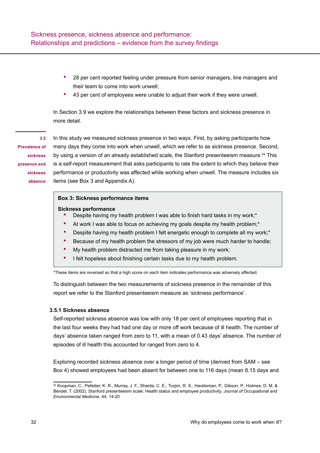- <span id="page-31-0"></span>• 28 per cent reported feeling under pressure from senior managers, line managers and their team to come into work unwell;
- 43 per cent of employees were unable to adjust their work if they were unwell.

In Section 3.9 we explore the relationships between these factors and sickness presence in more detail.

# **3.5**

**Prevalence of sickness presence and sickness absence**

In this study we measured sickness presence in two ways. First, by asking participants how many days they come into work when unwell, which we refer to as sickness presence. Second, by using a version of an already established scale, the Stanford presenteeism measure.<sup>54</sup> This is a self-report measurement that asks participants to rate the extent to which they believe their performance or productivity was affected while working when unwell. The measure includes six items (see Box 3 and Appendix A).

#### **Box 3: Sickness performance items**

#### **Sickness performance**

- Despite having my health problem I was able to finish hard tasks in my work;\*
- At work I was able to focus on achieving my goals despite my health problem;<sup>\*</sup>
- Despite having my health problem I felt energetic enough to complete all my work;\*
- Because of my health problem the stressors of my job were much harder to handle;
- My health problem distracted me from taking pleasure in my work;
- I felt hopeless about finishing certain tasks due to my health problem.

\*These items are reversed so that a high score on each item indicates performance was adversely affected.

To distinguish between the two measurements of sickness presence in the remainder of this report we refer to the Stanford presenteeism measure as 'sickness performance'.

#### **3.5.1 Sickness absence**

Self-reported sickness absence was low with only 18 per cent of employees reporting that in the last four weeks they had had one day or more off work because of ill health. The number of days' absence taken ranged from zero to 11, with a mean of 0.43 days' absence. The number of episodes of ill health this accounted for ranged from zero to 4.

Exploring recorded sickness absence over a longer period of time (derived from SAM – see Box 4) showed employees had been absent for between one to 116 days (mean 8.15 days and

<sup>54</sup> Koopman, C., Pelletier, K. R., Murray, J. F., Sharda, C. E., Turpin, R. S., Hackleman, P., Gibson, P., Holmes, D. M. & Bendel, T. (2002). Stanford presenteeism scale: Health status and employee productivity. *Journal of Occupational and Environmental Medicine*, 44*,* 14-20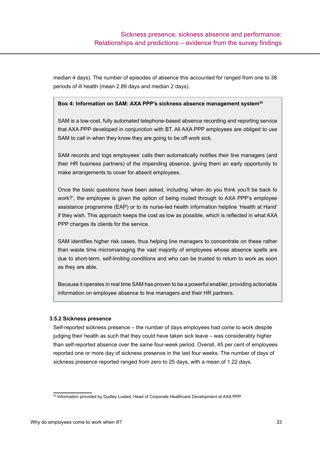median 4 days). The number of episodes of absence this accounted for ranged from one to 38 periods of ill health (mean 2.89 days and median 2 days).

#### **Box 4: Information on SAM: AXA PPP's sickness absence management system<sup>55</sup>**

SAM is a low-cost, fully automated telephone-based absence recording and reporting service that AXA PPP developed in conjunction with BT. All AXA PPP employees are obliged to use SAM to call in when they know they are going to be off work sick.

SAM records and logs employees' calls then automatically notifies their line managers (and their HR business partners) of the impending absence, giving them an early opportunity to make arrangements to cover for absent employees.

Once the basic questions have been asked, including 'when do you think you'll be back to work?', the employee is given the option of being routed through to AXA PPP's employee assistance programme (EAP) or to its nurse-led health information helpline 'Health at Hand' if they wish. This approach keeps the cost as low as possible, which is reflected in what AXA PPP charges its clients for the service.

SAM identifies higher risk cases, thus helping line managers to concentrate on these rather than waste time micromanaging the vast majority of employees whose absence spells are due to short-term, self-limiting conditions and who can be trusted to return to work as soon as they are able.

Because it operates in real time SAM has proven to be a powerful enabler, providing actionable information on employee absence to line managers and their HR partners.

#### **3.5.2 Sickness presence**

Self-reported sickness presence – the number of days employees had come to work despite judging their health as such that they could have taken sick leave – was considerably higher than self-reported absence over the same four-week period. Overall, 45 per cent of employees reported one or more day of sickness presence in the last four weeks. The number of days of sickness presence reported ranged from zero to 25 days, with a mean of 1.22 days.

<sup>55</sup> Information provided by Dudley Lusted, Head of Corporate Healthcare Development at AXA PPP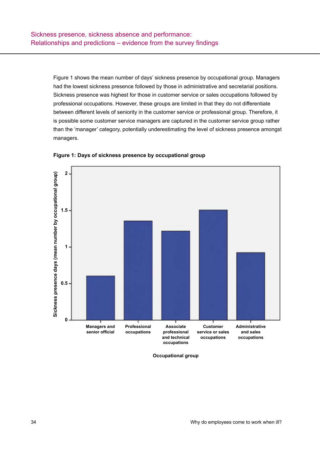Figure 1 shows the mean number of days' sickness presence by occupational group. Managers had the lowest sickness presence followed by those in administrative and secretarial positions. Sickness presence was highest for those in customer service or sales occupations followed by professional occupations. However, these groups are limited in that they do not differentiate between different levels of seniority in the customer service or professional group. Therefore, it is possible some customer service managers are captured in the customer service group rather than the 'manager' category, potentially underestimating the level of sickness presence amongst managers.



**Figure 1: Days of sickness presence by occupational group**

**Occupational group**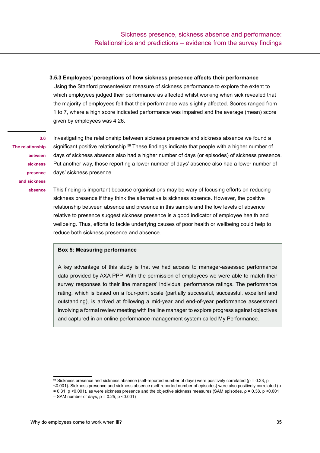#### <span id="page-34-0"></span>**3.5.3 Employees' perceptions of how sickness presence affects their performance**

Using the Stanford presenteeism measure of sickness performance to explore the extent to which employees judged their performance as affected whilst working when sick revealed that the majority of employees felt that their performance was slightly affected. Scores ranged from 1 to 7, where a high score indicated performance was impaired and the average (mean) score given by employees was 4.26.

**The relationship between sickness presence and sickness absence**

**3.6** 

Investigating the relationship between sickness presence and sickness absence we found a significant positive relationship.<sup>56</sup> These findings indicate that people with a higher number of days of sickness absence also had a higher number of days (or episodes) of sickness presence. Put another way, those reporting a lower number of days' absence also had a lower number of days' sickness presence.

This finding is important because organisations may be wary of focusing efforts on reducing sickness presence if they think the alternative is sickness absence. However, the positive relationship between absence and presence in this sample and the low levels of absence relative to presence suggest sickness presence is a good indicator of employee health and wellbeing. Thus, efforts to tackle underlying causes of poor health or wellbeing could help to reduce both sickness presence and absence.

#### **Box 5: Measuring performance**

A key advantage of this study is that we had access to manager-assessed performance data provided by AXA PPP. With the permission of employees we were able to match their survey responses to their line managers' individual performance ratings. The performance rating, which is based on a four-point scale (partially successful, successful, excellent and outstanding), is arrived at following a mid-year and end-of-year performance assessment involving a formal review meeting with the line manager to explore progress against objectives and captured in an online performance management system called My Performance.

 $56$  Sickness presence and sickness absence (self-reported number of days) were positively correlated ( $ρ = 0.23$ , p

<sup>&</sup>lt;0.001). Sickness presence and sickness absence (self-reported number of episodes) were also positively correlated (ρ = 0.31, p <0.001), as were sickness presence and the objective sickness measures (SAM episodes, ρ = 0.38, p <0.001

 $-$  SAM number of days,  $ρ = 0.25$ ,  $p < 0.001$ )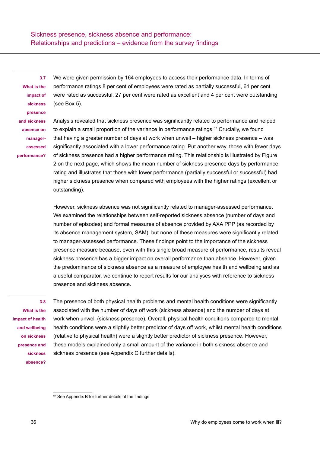<span id="page-35-0"></span>**3.7 What is the impact of sickness presence and sickness absence on managerassessed performance?** 

We were given permission by 164 employees to access their performance data. In terms of performance ratings 8 per cent of employees were rated as partially successful, 61 per cent were rated as successful, 27 per cent were rated as excellent and 4 per cent were outstanding (see Box 5).

Analysis revealed that sickness presence was significantly related to performance and helped to explain a small proportion of the variance in performance ratings.<sup>57</sup> Crucially, we found that having a greater number of days at work when unwell – higher sickness presence – was significantly associated with a lower performance rating. Put another way, those with fewer days of sickness presence had a higher performance rating. This relationship is illustrated by Figure 2 on the next page, which shows the mean number of sickness presence days by performance rating and illustrates that those with lower performance (partially successful or successful) had higher sickness presence when compared with employees with the higher ratings (excellent or outstanding).

However, sickness absence was not significantly related to manager-assessed performance. We examined the relationships between self-reported sickness absence (number of days and number of episodes) and formal measures of absence provided by AXA PPP (as recorded by its absence management system, SAM), but none of these measures were significantly related to manager-assessed performance. These findings point to the importance of the sickness presence measure because, even with this single broad measure of performance, results reveal sickness presence has a bigger impact on overall performance than absence. However, given the predominance of sickness absence as a measure of employee health and wellbeing and as a useful comparator, we continue to report results for our analyses with reference to sickness presence and sickness absence.

**3.8** 

**What is the impact of health and wellbeing on sickness presence and sickness absence?** 

The presence of both physical health problems and mental health conditions were significantly associated with the number of days off work (sickness absence) and the number of days at work when unwell (sickness presence). Overall, physical health conditions compared to mental health conditions were a slightly better predictor of days off work, whilst mental health conditions (relative to physical health) were a slightly better predictor of sickness presence. However, these models explained only a small amount of the variance in both sickness absence and sickness presence (see Appendix C further details).

<sup>57</sup> See Appendix B for further details of the findings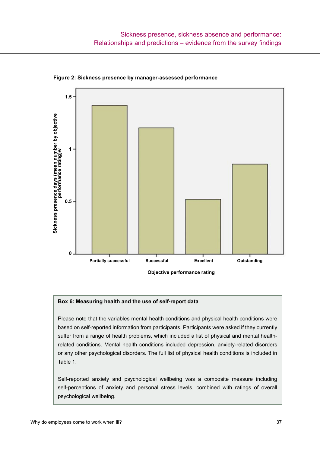

**Figure 2: Sickness presence by manager-assessed performance**

#### **Box 6: Measuring health and the use of self-report data**

Please note that the variables mental health conditions and physical health conditions were based on self-reported information from participants. Participants were asked if they currently suffer from a range of health problems, which included a list of physical and mental healthrelated conditions. Mental health conditions included depression, anxiety-related disorders or any other psychological disorders. The full list of physical health conditions is included in Table 1.

Self-reported anxiety and psychological wellbeing was a composite measure including self-perceptions of anxiety and personal stress levels, combined with ratings of overall psychological wellbeing.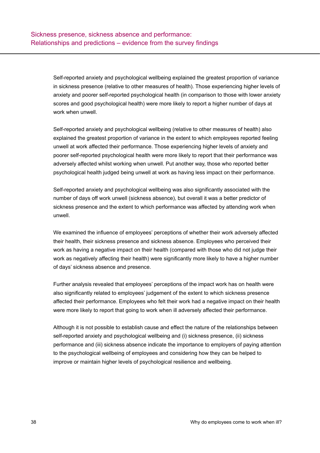Self-reported anxiety and psychological wellbeing explained the greatest proportion of variance in sickness presence (relative to other measures of health). Those experiencing higher levels of anxiety and poorer self-reported psychological health (in comparison to those with lower anxiety scores and good psychological health) were more likely to report a higher number of days at work when unwell.

Self-reported anxiety and psychological wellbeing (relative to other measures of health) also explained the greatest proportion of variance in the extent to which employees reported feeling unwell at work affected their performance. Those experiencing higher levels of anxiety and poorer self-reported psychological health were more likely to report that their performance was adversely affected whilst working when unwell. Put another way, those who reported better psychological health judged being unwell at work as having less impact on their performance.

Self-reported anxiety and psychological wellbeing was also significantly associated with the number of days off work unwell (sickness absence), but overall it was a better predictor of sickness presence and the extent to which performance was affected by attending work when unwell.

We examined the influence of employees' perceptions of whether their work adversely affected their health, their sickness presence and sickness absence. Employees who perceived their work as having a negative impact on their health (compared with those who did not judge their work as negatively affecting their health) were significantly more likely to have a higher number of days' sickness absence and presence.

Further analysis revealed that employees' perceptions of the impact work has on health were also significantly related to employees' judgement of the extent to which sickness presence affected their performance. Employees who felt their work had a negative impact on their health were more likely to report that going to work when ill adversely affected their performance.

Although it is not possible to establish cause and effect the nature of the relationships between self-reported anxiety and psychological wellbeing and (i) sickness presence, (ii) sickness performance and (iii) sickness absence indicate the importance to employers of paying attention to the psychological wellbeing of employees and considering how they can be helped to improve or maintain higher levels of psychological resilience and wellbeing.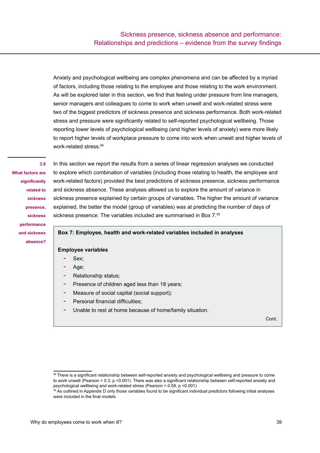Anxiety and psychological wellbeing are complex phenomena and can be affected by a myriad of factors, including those relating to the employee and those relating to the work environment. As will be explored later in this section, we find that feeling under pressure from line managers, senior managers and colleagues to come to work when unwell and work-related stress were two of the biggest predictors of sickness presence and sickness performance. Both work-related stress and pressure were significantly related to self-reported psychological wellbeing. Those reporting lower levels of psychological wellbeing (and higher levels of anxiety) were more likely to report higher levels of workplace pressure to come into work when unwell and higher levels of work-related stress.58

## **3.9**

**What factors are significantly related to sickness presence, sickness performance and sickness absence?**

In this section we report the results from a series of linear regression analyses we conducted to explore which combination of variables (including those relating to health, the employee and work-related factors) provided the best predictions of sickness presence, sickness performance and sickness absence. These analyses allowed us to explore the amount of variance in sickness presence explained by certain groups of variables. The higher the amount of variance explained, the better the model (group of variables) was at predicting the number of days of sickness presence. The variables included are summarised in Box 7.59

## **Box 7: Employee, health and work-related variables included in analyses**

## **Employee variables**

- Sex:
- Age;
- Relationship status:
- Presence of children aged less than 18 years;
- Measure of social capital (social support);
- Personal financial difficulties:
- Unable to rest at home because of home/family situation.

Cont.

<sup>58</sup> There is a significant relationship between self-reported anxiety and psychological wellbeing and pressure to come to work unwell (Pearson = 0.3, p <0.001). There was also a significant relationship between self-reported anxiety and psychological wellbeing and work-related stress (Pearson = 0.59, p <0.001)

<sup>59</sup> As outlined in Appendix D only those variables found to be significant individual predictors following initial analyses were included in the final models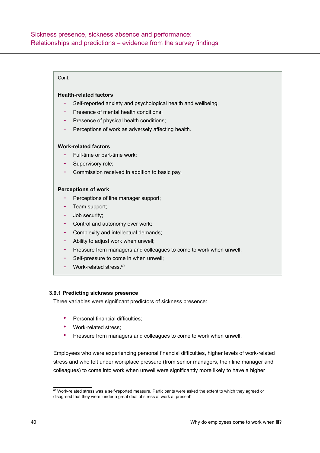## Cont.

## **Health-related factors**

- Self-reported anxiety and psychological health and wellbeing;
- Presence of mental health conditions:
- Presence of physical health conditions;
- Perceptions of work as adversely affecting health.

## **Work-related factors**

- Full-time or part-time work;
- Supervisory role;
- Commission received in addition to basic pay.

## **Perceptions of work**

- Perceptions of line manager support;
- Team support;
- Job security;
- Control and autonomy over work;
- Complexity and intellectual demands;
- Ability to adjust work when unwell;
- Pressure from managers and colleagues to come to work when unwell;
- Self-pressure to come in when unwell;
- $-$  Work-related stress.<sup>60</sup>

## **3.9.1 Predicting sickness presence**

Three variables were significant predictors of sickness presence:

- Personal financial difficulties:
- Work-related stress;
- Pressure from managers and colleagues to come to work when unwell.

Employees who were experiencing personal financial difficulties, higher levels of work-related stress and who felt under workplace pressure (from senior managers, their line manager and colleagues) to come into work when unwell were significantly more likely to have a higher

<sup>60</sup> Work-related stress was a self-reported measure. Participants were asked the extent to which they agreed or disagreed that they were 'under a great deal of stress at work at present'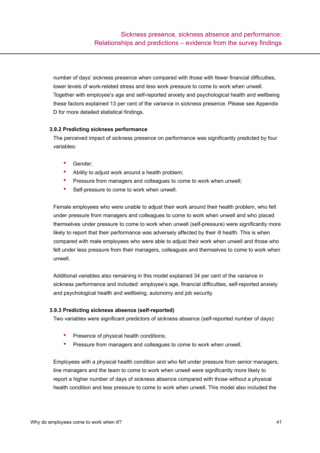number of days' sickness presence when compared with those with fewer financial difficulties, lower levels of work-related stress and less work pressure to come to work when unwell. Together with employee's age and self-reported anxiety and psychological health and wellbeing these factors explained 13 per cent of the variance in sickness presence. Please see Appendix D for more detailed statistical findings.

# **3.9.2 Predicting sickness performance**

The perceived impact of sickness presence on performance was significantly predicted by four variables:

- Gender:
- Ability to adjust work around a health problem;
- Pressure from managers and colleagues to come to work when unwell;
- Self-pressure to come to work when unwell.

Female employees who were unable to adjust their work around their health problem, who felt under pressure from managers and colleagues to come to work when unwell and who placed themselves under pressure to come to work when unwell (self-pressure) were significantly more likely to report that their performance was adversely affected by their ill health. This is when compared with male employees who were able to adjust their work when unwell and those who felt under less pressure from their managers, colleagues and themselves to come to work when unwell.

Additional variables also remaining in this model explained 34 per cent of the variance in sickness performance and included: employee's age, financial difficulties, self-reported anxiety and psychological health and wellbeing, autonomy and job security.

## **3.9.3 Predicting sickness absence (self-reported)**

Two variables were significant predictors of sickness absence (self-reported number of days):

- Presence of physical health conditions;
- Pressure from managers and colleagues to come to work when unwell.

Employees with a physical health condition and who felt under pressure from senior managers, line managers and the team to come to work when unwell were significantly more likely to report a higher number of days of sickness absence compared with those without a physical health condition and less pressure to come to work when unwell. This model also included the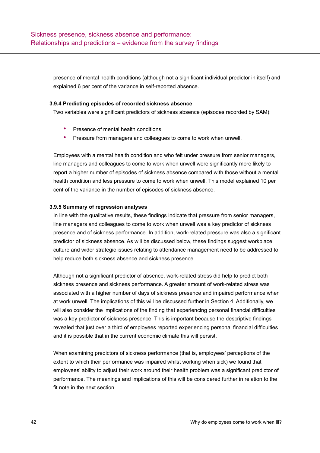presence of mental health conditions (although not a significant individual predictor in itself) and explained 6 per cent of the variance in self-reported absence.

## **3.9.4 Predicting episodes of recorded sickness absence**

Two variables were significant predictors of sickness absence (episodes recorded by SAM):

- Presence of mental health conditions;
- Pressure from managers and colleagues to come to work when unwell.

Employees with a mental health condition and who felt under pressure from senior managers, line managers and colleagues to come to work when unwell were significantly more likely to report a higher number of episodes of sickness absence compared with those without a mental health condition and less pressure to come to work when unwell. This model explained 10 per cent of the variance in the number of episodes of sickness absence.

# **3.9.5 Summary of regression analyses**

In line with the qualitative results, these findings indicate that pressure from senior managers, line managers and colleagues to come to work when unwell was a key predictor of sickness presence and of sickness performance. In addition, work-related pressure was also a significant predictor of sickness absence. As will be discussed below, these findings suggest workplace culture and wider strategic issues relating to attendance management need to be addressed to help reduce both sickness absence and sickness presence.

Although not a significant predictor of absence, work-related stress did help to predict both sickness presence and sickness performance. A greater amount of work-related stress was associated with a higher number of days of sickness presence and impaired performance when at work unwell. The implications of this will be discussed further in Section 4. Additionally, we will also consider the implications of the finding that experiencing personal financial difficulties was a key predictor of sickness presence. This is important because the descriptive findings revealed that just over a third of employees reported experiencing personal financial difficulties and it is possible that in the current economic climate this will persist.

When examining predictors of sickness performance (that is, employees' perceptions of the extent to which their performance was impaired whilst working when sick) we found that employees' ability to adjust their work around their health problem was a significant predictor of performance. The meanings and implications of this will be considered further in relation to the fit note in the next section.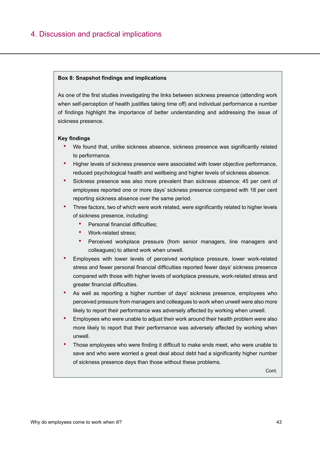# 4. Discussion and practical implications

#### **Box 8: Snapshot findings and implications**

As one of the first studies investigating the links between sickness presence (attending work when self-perception of health justifies taking time off) and individual performance a number of findings highlight the importance of better understanding and addressing the issue of sickness presence.

#### **Key findings**

- We found that, unlike sickness absence, sickness presence was significantly related to performance.
- Higher levels of sickness presence were associated with lower objective performance, reduced psychological health and wellbeing and higher levels of sickness absence.
- Sickness presence was also more prevalent than sickness absence: 45 per cent of employees reported one or more days' sickness presence compared with 18 per cent reporting sickness absence over the same period.
- Three factors, two of which were work related, were significantly related to higher levels of sickness presence, including:
	- Personal financial difficulties;
	- Work-related stress;
	- Perceived workplace pressure (from senior managers, line managers and colleagues) to attend work when unwell.
- Employees with lower levels of perceived workplace pressure, lower work-related stress and fewer personal financial difficulties reported fewer days' sickness presence compared with those with higher levels of workplace pressure, work-related stress and greater financial difficulties.
- As well as reporting a higher number of days' sickness presence, employees who perceived pressure from managers and colleagues to work when unwell were also more likely to report their performance was adversely affected by working when unwell.
- Employees who were unable to adjust their work around their health problem were also more likely to report that their performance was adversely affected by working when unwell.
- Those employees who were finding it difficult to make ends meet, who were unable to save and who were worried a great deal about debt had a significantly higher number of sickness presence days than those without these problems.

Cont.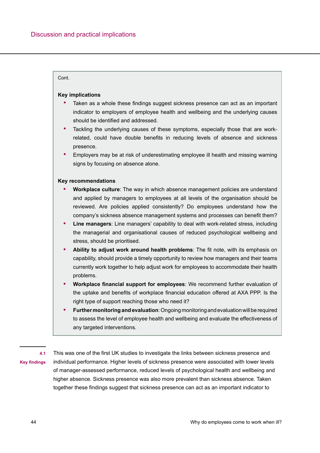### Cont.

#### **Key implications**

- Taken as a whole these findings suggest sickness presence can act as an important indicator to employers of employee health and wellbeing and the underlying causes should be identified and addressed.
- Tackling the underlying causes of these symptoms, especially those that are workrelated, could have double benefits in reducing levels of absence and sickness presence.
- Employers may be at risk of underestimating employee ill health and missing warning signs by focusing on absence alone.

#### **Key recommendations**

- **• Workplace culture**: The way in which absence management policies are understand and applied by managers to employees at all levels of the organisation should be reviewed. Are policies applied consistently? Do employees understand how the company's sickness absence management systems and processes can benefit them?
- **• Line managers**: Line managers' capability to deal with work-related stress, including the managerial and organisational causes of reduced psychological wellbeing and stress, should be prioritised.
- **• Ability to adjust work around health problems**: The fit note, with its emphasis on capability, should provide a timely opportunity to review how managers and their teams currently work together to help adjust work for employees to accommodate their health problems.
- **• Workplace financial support for employees**: We recommend further evaluation of the uptake and benefits of workplace financial education offered at AXA PPP. Is the right type of support reaching those who need it?
- **• Further monitoring and evaluation**: Ongoing monitoring and evaluation will be required to assess the level of employee health and wellbeing and evaluate the effectiveness of any targeted interventions.

**4.1** 

**Key findings**

This was one of the first UK studies to investigate the links between sickness presence and individual performance. Higher levels of sickness presence were associated with lower levels of manager-assessed performance, reduced levels of psychological health and wellbeing and higher absence. Sickness presence was also more prevalent than sickness absence. Taken together these findings suggest that sickness presence can act as an important indicator to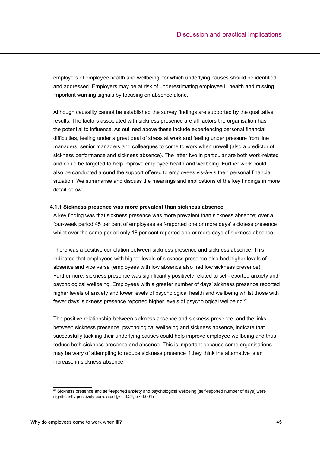employers of employee health and wellbeing, for which underlying causes should be identified and addressed. Employers may be at risk of underestimating employee ill health and missing important warning signals by focusing on absence alone.

Although causality cannot be established the survey findings are supported by the qualitative results. The factors associated with sickness presence are all factors the organisation has the potential to influence. As outlined above these include experiencing personal financial difficulties, feeling under a great deal of stress at work and feeling under pressure from line managers, senior managers and colleagues to come to work when unwell (also a predictor of sickness performance and sickness absence). The latter two in particular are both work-related and could be targeted to help improve employee health and wellbeing. Further work could also be conducted around the support offered to employees vis-à-vis their personal financial situation. We summarise and discuss the meanings and implications of the key findings in more detail below.

#### **4.1.1 Sickness presence was more prevalent than sickness absence**

A key finding was that sickness presence was more prevalent than sickness absence; over a four-week period 45 per cent of employees self-reported one or more days' sickness presence whilst over the same period only 18 per cent reported one or more days of sickness absence.

There was a positive correlation between sickness presence and sickness absence. This indicated that employees with higher levels of sickness presence also had higher levels of absence and vice versa (employees with low absence also had low sickness presence). Furthermore, sickness presence was significantly positively related to self-reported anxiety and psychological wellbeing. Employees with a greater number of days' sickness presence reported higher levels of anxiety and lower levels of psychological health and wellbeing whilst those with fewer days' sickness presence reported higher levels of psychological wellbeing.<sup>61</sup>

The positive relationship between sickness absence and sickness presence, and the links between sickness presence, psychological wellbeing and sickness absence, indicate that successfully tackling their underlying causes could help improve employee wellbeing and thus reduce both sickness presence and absence. This is important because some organisations may be wary of attempting to reduce sickness presence if they think the alternative is an increase in sickness absence.

<sup>&</sup>lt;sup>61</sup> Sickness presence and self-reported anxiety and psychological wellbeing (self-reported number of days) were significantly positively correlated (*ρ* = 0.24, p <0.001)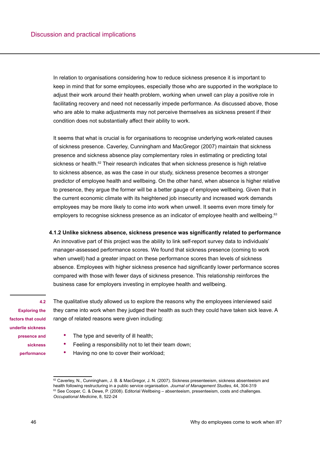In relation to organisations considering how to reduce sickness presence it is important to keep in mind that for some employees, especially those who are supported in the workplace to adjust their work around their health problem, working when unwell can play a positive role in facilitating recovery and need not necessarily impede performance. As discussed above, those who are able to make adjustments may not perceive themselves as sickness present if their condition does not substantially affect their ability to work.

It seems that what is crucial is for organisations to recognise underlying work-related causes of sickness presence. Caverley, Cunningham and MacGregor (2007) maintain that sickness presence and sickness absence play complementary roles in estimating or predicting total sickness or health.<sup>62</sup> Their research indicates that when sickness presence is high relative to sickness absence, as was the case in our study, sickness presence becomes a stronger predictor of employee health and wellbeing. On the other hand, when absence is higher relative to presence, they argue the former will be a better gauge of employee wellbeing. Given that in the current economic climate with its heightened job insecurity and increased work demands employees may be more likely to come into work when unwell. It seems even more timely for employers to recognise sickness presence as an indicator of employee health and wellbeing.<sup>63</sup>

# **4.1.2 Unlike sickness absence, sickness presence was significantly related to performance**

An innovative part of this project was the ability to link self-report survey data to individuals' manager-assessed performance scores. We found that sickness presence (coming to work when unwell) had a greater impact on these performance scores than levels of sickness absence. Employees with higher sickness presence had significantly lower performance scores compared with those with fewer days of sickness presence. This relationship reinforces the business case for employers investing in employee health and wellbeing.

#### **4.2**

**Exploring the factors that could underlie sickness presence and sickness performance** The qualitative study allowed us to explore the reasons why the employees interviewed said they came into work when they judged their health as such they could have taken sick leave. A range of related reasons were given including:

- The type and severity of ill health;
- Feeling a responsibility not to let their team down;
- Having no one to cover their workload;

<sup>62</sup> Caverley, N., Cunningham, J. B. & MacGregor, J. N. (2007). Sickness presenteeism, sickness absenteeism and health following restructuring in a public service organisation. *Journal of Management Studies*, 44, 304-319 63 See Cooper, C. & Dewe, P. (2008). Editorial Wellbeing – absenteeism, presenteeism, costs and challenges. *Occupational Medicine*, 8, 522-24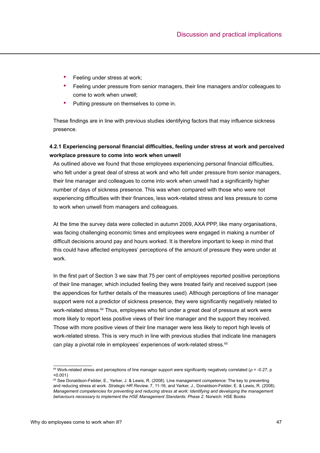- Feeling under stress at work:
- Feeling under pressure from senior managers, their line managers and/or colleagues to come to work when unwell;
- Putting pressure on themselves to come in.

These findings are in line with previous studies identifying factors that may influence sickness presence.

# **4.2.1 Experiencing personal financial difficulties, feeling under stress at work and perceived workplace pressure to come into work when unwell**

As outlined above we found that those employees experiencing personal financial difficulties, who felt under a great deal of stress at work and who felt under pressure from senior managers, their line manager and colleagues to come into work when unwell had a significantly higher number of days of sickness presence. This was when compared with those who were not experiencing difficulties with their finances, less work-related stress and less pressure to come to work when unwell from managers and colleagues.

At the time the survey data were collected in autumn 2009, AXA PPP, like many organisations, was facing challenging economic times and employees were engaged in making a number of difficult decisions around pay and hours worked. It is therefore important to keep in mind that this could have affected employees' perceptions of the amount of pressure they were under at work.

In the first part of Section 3 we saw that 75 per cent of employees reported positive perceptions of their line manager, which included feeling they were treated fairly and received support (see the appendices for further details of the measures used). Although perceptions of line manager support were not a predictor of sickness presence, they were significantly negatively related to work-related stress.<sup>64</sup> Thus, employees who felt under a great deal of pressure at work were more likely to report less positive views of their line manager and the support they received. Those with more positive views of their line manager were less likely to report high levels of work-related stress. This is very much in line with previous studies that indicate line managers can play a pivotal role in employees' experiences of work-related stress.<sup>65</sup>

<sup>64</sup> Work-related stress and perceptions of line manager support were significantly negatively correlated (*ρ* = -0.27, p <0.001)

<sup>65</sup> See Donaldson-Feilder, E., Yarker, J. & Lewis, R. (2008). Line management competence: The key to preventing and reducing stress at work. *Strategic HR Review,* 7, 11-16; and Yarker, J., Donaldson-Feilder, E. & Lewis, R. (2008). *Management competencies for preventing and reducing stress at work: Identifying and developing the management behaviours necessary to implement the HSE Management Standards: Phase 2*. Norwich: HSE Books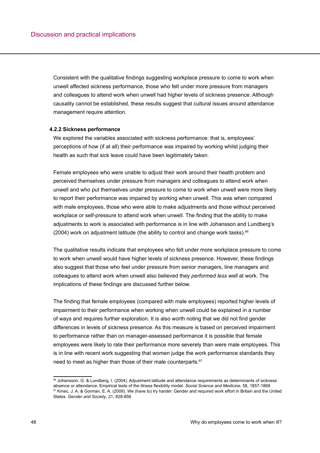Consistent with the qualitative findings suggesting workplace pressure to come to work when unwell affected sickness performance, those who felt under more pressure from managers and colleagues to attend work when unwell had higher levels of sickness presence. Although causality cannot be established, these results suggest that cultural issues around attendance management require attention.

#### **4.2.2 Sickness performance**

We explored the variables associated with sickness performance: that is, employees' perceptions of how (if at all) their performance was impaired by working whilst judging their health as such that sick leave could have been legitimately taken.

Female employees who were unable to adjust their work around their health problem and perceived themselves under pressure from managers and colleagues to attend work when unwell and who put themselves under pressure to come to work when unwell were more likely to report their performance was impaired by working when unwell. This was when compared with male employees, those who were able to make adjustments and those without perceived workplace or self-pressure to attend work when unwell. The finding that the ability to make adjustments to work is associated with performance is in line with Johansson and Lundberg's (2004) work on adjustment latitude (the ability to control and change work tasks). $66$ 

The qualitative results indicate that employees who felt under more workplace pressure to come to work when unwell would have higher levels of sickness presence. However, these findings also suggest that those who feel under pressure from senior managers, line managers and colleagues to attend work when unwell also believed they *performed less well* at work. The implications of these findings are discussed further below.

The finding that female employees (compared with male employees) reported higher levels of impairment to their performance when working when unwell could be explained in a number of ways and requires further exploration. It is also worth noting that we did not find gender differences in levels of sickness presence. As this measure is based on perceived impairment to performance rather than on manager-assessed performance it is possible that female employees were likely to rate their performance more severely than were male employees. This is in line with recent work suggesting that women judge the work performance standards they need to meet as higher than those of their male counterparts.<sup>67</sup>

<sup>66</sup> Johansson, G. & Lundberg, I. (2004). Adjustment latitude and attendance requirements as determinants of sickness absence or attendance. Empirical tests of the illness flexibility model. *Social Science and Medicine*, 58, 1857-1868 <sup>67</sup> Kmec, J. A. & Gorman, E. A. (2009). We (have to) try harder: Gender and required work effort in Britain and the United States. *Gender and Society*, 21, 828-856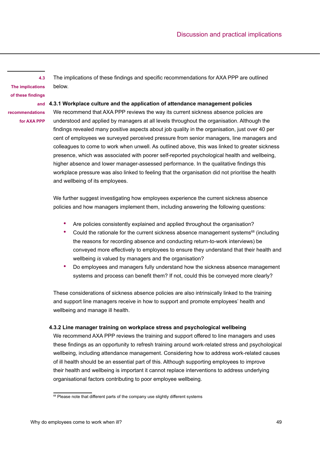**4.3 The implications of these findings** 

The implications of these findings and specific recommendations for AXA PPP are outlined below.

# **and 4.3.1 Workplace culture and the application of attendance management policies**

**recommendations for AXA PPP**

We recommend that AXA PPP reviews the way its current sickness absence policies are understood and applied by managers at all levels throughout the organisation. Although the findings revealed many positive aspects about job quality in the organisation, just over 40 per cent of employees we surveyed perceived pressure from senior managers, line managers and colleagues to come to work when unwell. As outlined above, this was linked to greater sickness presence, which was associated with poorer self-reported psychological health and wellbeing, higher absence and lower manager-assessed performance. In the qualitative findings this workplace pressure was also linked to feeling that the organisation did not prioritise the health and wellbeing of its employees.

We further suggest investigating how employees experience the current sickness absence policies and how managers implement them, including answering the following questions:

- Are policies consistently explained and applied throughout the organisation?
- Could the rationale for the current sickness absence management systems<sup>68</sup> (including the reasons for recording absence and conducting return-to-work interviews) be conveyed more effectively to employees to ensure they understand that their health and wellbeing *is* valued by managers and the organisation?
- Do employees and managers fully understand how the sickness absence management systems and process can benefit them? If not, could this be conveyed more clearly?

These considerations of sickness absence policies are also intrinsically linked to the training and support line managers receive in how to support and promote employees' health and wellbeing and manage ill health.

## **4.3.2 Line manager training on workplace stress and psychological wellbeing**

We recommend AXA PPP reviews the training and support offered to line managers and uses these findings as an opportunity to refresh training around work-related stress and psychological wellbeing, including attendance management. Considering how to address work-related causes of ill health should be an essential part of this. Although supporting employees to improve their health and wellbeing is important it cannot replace interventions to address underlying organisational factors contributing to poor employee wellbeing.

<sup>&</sup>lt;sup>68</sup> Please note that different parts of the company use slightly different systems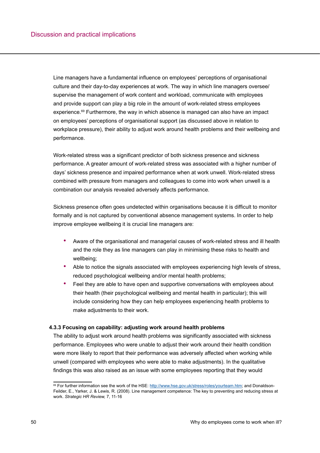Line managers have a fundamental influence on employees' perceptions of organisational culture and their day-to-day experiences at work. The way in which line managers oversee/ supervise the management of work content and workload, communicate with employees and provide support can play a big role in the amount of work-related stress employees experience.<sup>69</sup> Furthermore, the way in which absence is managed can also have an impact on employees' perceptions of organisational support (as discussed above in relation to workplace pressure), their ability to adjust work around health problems and their wellbeing and performance.

Work-related stress was a significant predictor of both sickness presence and sickness performance. A greater amount of work-related stress was associated with a higher number of days' sickness presence and impaired performance when at work unwell. Work-related stress combined with pressure from managers and colleagues to come into work when unwell is a combination our analysis revealed adversely affects performance.

Sickness presence often goes undetected within organisations because it is difficult to monitor formally and is not captured by conventional absence management systems. In order to help improve employee wellbeing it is crucial line managers are:

- Aware of the organisational and managerial causes of work-related stress and ill health and the role they as line managers can play in minimising these risks to health and wellbeing;
- Able to notice the signals associated with employees experiencing high levels of stress, reduced psychological wellbeing and/or mental health problems;
- Feel they are able to have open and supportive conversations with employees about their health (their psychological wellbeing and mental health in particular); this will include considering how they can help employees experiencing health problems to make adjustments to their work.

## **4.3.3 Focusing on capability: adjusting work around health problems**

The ability to adjust work around health problems was significantly associated with sickness performance. Employees who were unable to adjust their work around their health condition were more likely to report that their performance was adversely affected when working while unwell (compared with employees who were able to make adjustments). In the qualitative findings this was also raised as an issue with some employees reporting that they would

<sup>&</sup>lt;sup>69</sup> For further information see the work of the HSE: <http://www.hse.gov.uk/stress/roles/yourteam.htm>; and Donaldson-Feilder, E., Yarker, J. & Lewis, R. (2008). Line management competence: The key to preventing and reducing stress at work. *Strategic HR Review,* 7, 11-16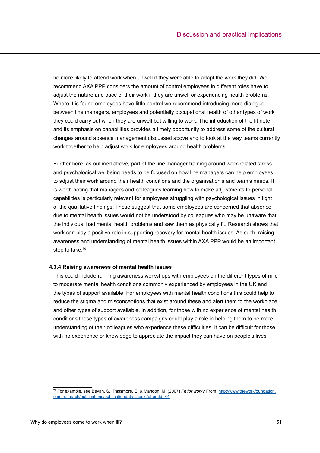be more likely to attend work when unwell if they were able to adapt the work they did. We recommend AXA PPP considers the amount of control employees in different roles have to adjust the nature and pace of their work if they are unwell or experiencing health problems. Where it is found employees have little control we recommend introducing more dialogue between line managers, employees and potentially occupational health of other types of work they could carry out when they are unwell but willing to work. The introduction of the fit note and its emphasis on capabilities provides a timely opportunity to address some of the cultural changes around absence management discussed above and to look at the way teams currently work together to help adjust work for employees around health problems.

Furthermore, as outlined above, part of the line manager training around work-related stress and psychological wellbeing needs to be focused on how line managers can help employees to adjust their work around their health conditions and the organisation's and team's needs. It is worth noting that managers and colleagues learning how to make adjustments to personal capabilities is particularly relevant for employees struggling with psychological issues in light of the qualitative findings. These suggest that some employees are concerned that absence due to mental health issues would not be understood by colleagues who may be unaware that the individual had mental health problems and saw them as physically fit. Research shows that work can play a positive role in supporting recovery for mental health issues. As such, raising awareness and understanding of mental health issues within AXA PPP would be an important step to take.<sup>70</sup>

## **4.3.4 Raising awareness of mental health issues**

This could include running awareness workshops with employees on the different types of mild to moderate mental health conditions commonly experienced by employees in the UK and the types of support available. For employees with mental health conditions this could help to reduce the stigma and misconceptions that exist around these and alert them to the workplace and other types of support available. In addition, for those with no experience of mental health conditions these types of awareness campaigns could play a role in helping them to be more understanding of their colleagues who experience these difficulties; it can be difficult for those with no experience or knowledge to appreciate the impact they can have on people's lives

<sup>70</sup> For example, see Bevan, S., Passmore, E. & Mahdon, M. (2007) *Fit for work?* From: [http://www.theworkfoundation.](http://www.theworkfoundation.com/research/publications/publicationdetail.aspx?oItemId=44) [com/research/publications/publicationdetail.aspx?oItemId=44](http://www.theworkfoundation.com/research/publications/publicationdetail.aspx?oItemId=44)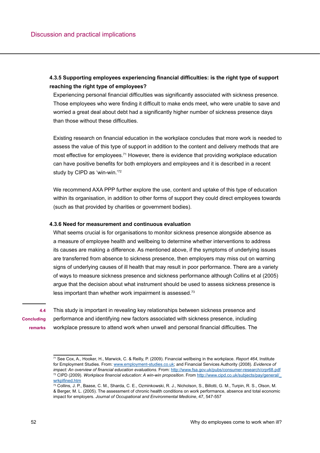# **4.3.5 Supporting employees experiencing financial difficulties: is the right type of support reaching the right type of employees?**

Experiencing personal financial difficulties was significantly associated with sickness presence. Those employees who were finding it difficult to make ends meet, who were unable to save and worried a great deal about debt had a significantly higher number of sickness presence days than those without these difficulties.

Existing research on financial education in the workplace concludes that more work is needed to assess the value of this type of support in addition to the content and delivery methods that are most effective for employees.71 However, there is evidence that providing workplace education can have positive benefits for both employers and employees and it is described in a recent study by CIPD as 'win-win.'72

We recommend AXA PPP further explore the use, content and uptake of this type of education within its organisation, in addition to other forms of support they could direct employees towards (such as that provided by charities or government bodies).

## **4.3.6 Need for measurement and continuous evaluation**

What seems crucial is for organisations to monitor sickness presence alongside absence as a measure of employee health and wellbeing to determine whether interventions to address its causes are making a difference. As mentioned above, if the symptoms of underlying issues are transferred from absence to sickness presence, then employers may miss out on warning signs of underlying causes of ill health that may result in poor performance. There are a variety of ways to measure sickness presence and sickness performance although Collins et al (2005) argue that the decision about what instrument should be used to assess sickness presence is less important than whether work impairment is assessed.73

**Concluding remarks**

**4.4** 

This study is important in revealing key relationships between sickness presence and performance and identifying new factors associated with sickness presence, including workplace pressure to attend work when unwell and personal financial difficulties. The

<sup>71</sup> See Cox, A., Hooker, H., Marwick, C. & Reilly, P. (2009). Financial wellbeing in the workplace. *Report 464*, Institute for Employment Studies. From: [www.employment-studies.co.uk](http://www.employment-studies.co.uk); and Financial Services Authority (2008). *Evidence of impact: An overview of financial education evaluations*. From:<http://www.fsa.gov.uk/pubs/consumer-research/crpr68.pdf> 72 CIPD (2009). *Workplace financial education: A win-win proposition*. From [http://www.cipd.co.uk/subjects/pay/general/\\_](http://www.cipd.co.uk/subjects/pay/general/_wrkplfined.htm) [wrkplfined.ht](http://www.cipd.co.uk/subjects/pay/general/_wrkplfined.htm)m

<sup>73</sup> Collins, J. P., Baase, C. M., Sharda, C. E., Ozminkowski, R. J., Nicholson, S., Billotti, G. M., Turpin, R. S., Olson, M. & Berger, M. L. (2005). The assessment of chronic health conditions on work performance, absence and total economic impact for employers. *Journal of Occupational and Environmental Medicine*, 47, 547-557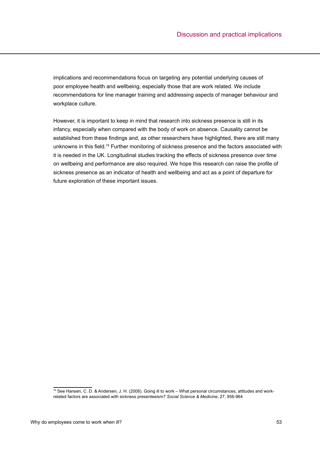implications and recommendations focus on targeting any potential underlying causes of poor employee health and wellbeing, especially those that are work related. We include recommendations for line manager training and addressing aspects of manager behaviour and workplace culture.

However, it is important to keep in mind that research into sickness presence is still in its infancy, especially when compared with the body of work on absence. Causality cannot be established from these findings and, as other researchers have highlighted, there are still many unknowns in this field.<sup>74</sup> Further monitoring of sickness presence and the factors associated with it is needed in the UK. Longitudinal studies tracking the effects of sickness presence over time on wellbeing and performance are also required. We hope this research can raise the profile of sickness presence as an indicator of health and wellbeing and act as a point of departure for future exploration of these important issues.

<sup>&</sup>lt;sup>74</sup> See Hansen, C. D. & Andersen, J. H. (2008). Going ill to work – What personal circumstances, attitudes and workrelated factors are associated with sickness presenteeism? *Social Science & Medicine*, 27, 956-964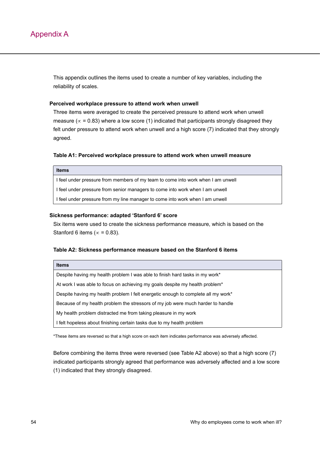This appendix outlines the items used to create a number of key variables, including the reliability of scales.

#### **Perceived workplace pressure to attend work when unwell**

Three items were averaged to create the perceived pressure to attend work when unwell measure ( $\propto$  = 0.83) where a low score (1) indicated that participants strongly disagreed they felt under pressure to attend work when unwell and a high score (7) indicated that they strongly agreed.

#### **Table A1: Perceived workplace pressure to attend work when unwell measure**

#### **Items**

I feel under pressure from members of my team to come into work when I am unwell I feel under pressure from senior managers to come into work when I am unwell I feel under pressure from my line manager to come into work when I am unwell

#### **Sickness performance: adapted 'Stanford 6' score**

Six items were used to create the sickness performance measure, which is based on the Stanford 6 items ( $\propto$  = 0.83).

#### **Table A2: Sickness performance measure based on the Stanford 6 items**

Despite having my health problem I was able to finish hard tasks in my work\* At work I was able to focus on achieving my goals despite my health problem\* Despite having my health problem I felt energetic enough to complete all my work\* Because of my health problem the stressors of my job were much harder to handle My health problem distracted me from taking pleasure in my work I felt hopeless about finishing certain tasks due to my health problem

\*These items are reversed so that a high score on each item indicates performance was adversely affected.

Before combining the items three were reversed (see Table A2 above) so that a high score (7) indicated participants strongly agreed that performance was adversely affected and a low score (1) indicated that they strongly disagreed.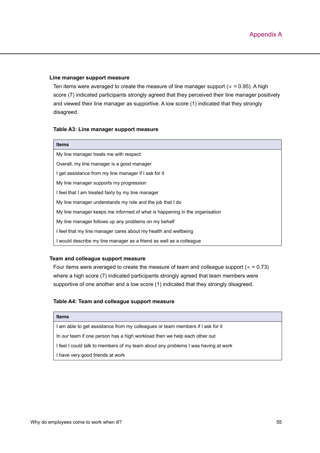#### **Line manager support measure**

Ten items were averaged to create the measure of line manager support ( $\propto$  = 0.95). A high score (7) indicated participants strongly agreed that they perceived their line manager positively and viewed their line manager as supportive. A low score (1) indicated that they strongly disagreed.

#### **Table A3: Line manager support measure**

| <b>Items</b>                                                               |
|----------------------------------------------------------------------------|
| My line manager treats me with respect                                     |
| Overall, my line manager is a good manager                                 |
| I get assistance from my line manager if I ask for it                      |
| My line manager supports my progression                                    |
| I feel that I am treated fairly by my line manager                         |
| My line manager understands my role and the job that I do                  |
| My line manager keeps me informed of what is happening in the organisation |
| My line manager follows up any problems on my behalf                       |
| I feel that my line manager cares about my health and wellbeing            |
| I would describe my line manager as a friend as well as a colleague        |
|                                                                            |

# **Team and colleague support measure**

Four items were averaged to create the measure of team and colleague support ( $\alpha$  = 0.73) where a high score (7) indicated participants strongly agreed that team members were supportive of one another and a low score (1) indicated that they strongly disagreed.

## **Table A4: Team and colleague support measure**

## **Items**

I am able to get assistance from my colleagues or team members if I ask for it

In our team if one person has a high workload then we help each other out

I feel I could talk to members of my team about any problems I was having at work

I have very good friends at work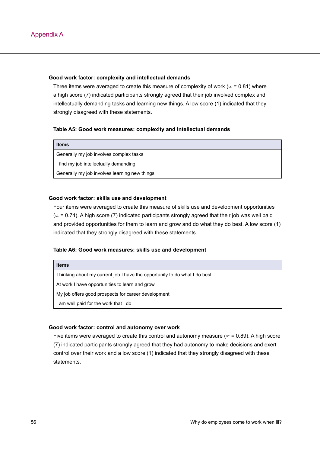#### **Good work factor: complexity and intellectual demands**

Three items were averaged to create this measure of complexity of work ( $\alpha$  = 0.81) where a high score (7) indicated participants strongly agreed that their job involved complex and intellectually demanding tasks and learning new things. A low score (1) indicated that they strongly disagreed with these statements.

#### **Table A5: Good work measures: complexity and intellectual demands**

| <b>Items</b>                                  |
|-----------------------------------------------|
| Generally my job involves complex tasks       |
| I find my job intellectually demanding        |
| Generally my job involves learning new things |

#### **Good work factor: skills use and development**

Four items were averaged to create this measure of skills use and development opportunities (∝ = 0.74). A high score (7) indicated participants strongly agreed that their job was well paid and provided opportunities for them to learn and grow and do what they do best. A low score (1) indicated that they strongly disagreed with these statements.

## **Table A6: Good work measures: skills use and development**

Thinking about my current job I have the opportunity to do what I do best

At work I have opportunities to learn and grow

My job offers good prospects for career development

I am well paid for the work that I do

#### **Good work factor: control and autonomy over work**

Five items were averaged to create this control and autonomy measure ( $\propto$  = 0.89). A high score (7) indicated participants strongly agreed that they had autonomy to make decisions and exert control over their work and a low score (1) indicated that they strongly disagreed with these statements.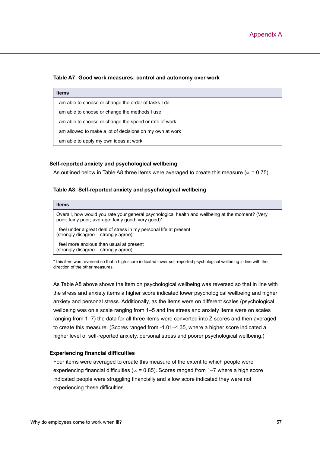#### **Table A7: Good work measures: control and autonomy over work**

| <b>Items</b>                                              |
|-----------------------------------------------------------|
| I am able to choose or change the order of tasks I do     |
| I am able to choose or change the methods I use           |
| I am able to choose or change the speed or rate of work   |
| I am allowed to make a lot of decisions on my own at work |
| I am able to apply my own ideas at work                   |

#### **Self-reported anxiety and psychological wellbeing**

As outlined below in Table A8 three items were averaged to create this measure ( $\alpha$  = 0.75).

#### **Table A8: Self-reported anxiety and psychological wellbeing**

| <b>Items</b>                                                                                                                                             |
|----------------------------------------------------------------------------------------------------------------------------------------------------------|
| Overall, how would you rate your general psychological health and wellbeing at the moment? (Very<br>poor; fairly poor; average; fairly good; very good)* |
| I feel under a great deal of stress in my personal life at present<br>(strongly disagree - strongly agree)                                               |
| I feel more anxious than usual at present<br>(strongly disagree – strongly agree)                                                                        |

\*This item was reversed so that a high score indicated lower self-reported psychological wellbeing in line with the direction of the other measures.

As Table A8 above shows the item on psychological wellbeing was reversed so that in line with the stress and anxiety items a higher score indicated lower psychological wellbeing and higher anxiety and personal stress. Additionally, as the items were on different scales (psychological wellbeing was on a scale ranging from 1–5 and the stress and anxiety items were on scales ranging from 1–7) the data for all three items were converted into Z scores and then averaged to create this measure. (Scores ranged from -1.01–4.35, where a higher score indicated a higher level of self-reported anxiety, personal stress and poorer psychological wellbeing.)

#### **Experiencing financial difficulties**

Four items were averaged to create this measure of the extent to which people were experiencing financial difficulties ( $\alpha$  = 0.85). Scores ranged from 1–7 where a high score indicated people were struggling financially and a low score indicated they were not experiencing these difficulties.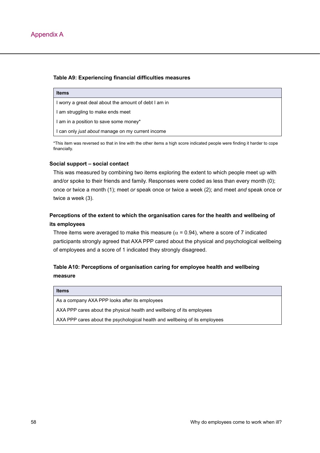## **Table A9: Experiencing financial difficulties measures**

| <b>Items</b>                                          |
|-------------------------------------------------------|
| I worry a great deal about the amount of debt I am in |
| I am struggling to make ends meet                     |
| I am in a position to save some money*                |
| I can only just about manage on my current income     |

\*This item was reversed so that in line with the other items a high score indicated people were finding it harder to cope financially.

# **Social support – social contact**

This was measured by combining two items exploring the extent to which people meet up with and/or spoke to their friends and family. Responses were coded as less than every month (0); once or twice a month (1); meet *or* speak once or twice a week (2); and meet *and* speak once or twice a week (3).

# **Perceptions of the extent to which the organisation cares for the health and wellbeing of its employees**

Three items were averaged to make this measure ( $\alpha$  = 0.94), where a score of 7 indicated participants strongly agreed that AXA PPP cared about the physical and psychological wellbeing of employees and a score of 1 indicated they strongly disagreed.

# **Table A10: Perceptions of organisation caring for employee health and wellbeing measure**

#### **Items**

As a company AXA PPP looks after its employees

AXA PPP cares about the physical health and wellbeing of its employees

AXA PPP cares about the psychological health and wellbeing of its employees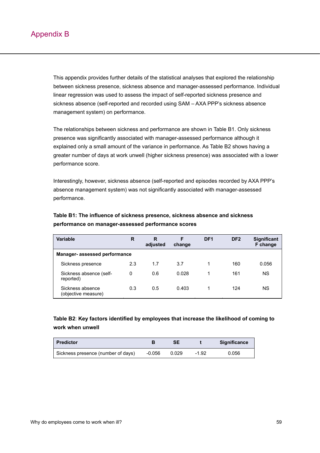This appendix provides further details of the statistical analyses that explored the relationship between sickness presence, sickness absence and manager-assessed performance. Individual linear regression was used to assess the impact of self-reported sickness presence and sickness absence (self-reported and recorded using SAM – AXA PPP's sickness absence management system) on performance.

The relationships between sickness and performance are shown in Table B1. Only sickness presence was significantly associated with manager-assessed performance although it explained only a small amount of the variance in performance. As Table B2 shows having a greater number of days at work unwell (higher sickness presence) was associated with a lower performance score.

Interestingly, however, sickness absence (self-reported and episodes recorded by AXA PPP's absence management system) was not significantly associated with manager-assessed performance.

| Variable                                | R   | R<br>adjusted | F<br>change | DF <sub>1</sub> | DF <sub>2</sub> | <b>Significant</b><br>F change |  |  |
|-----------------------------------------|-----|---------------|-------------|-----------------|-----------------|--------------------------------|--|--|
| <b>Manager- assessed performance</b>    |     |               |             |                 |                 |                                |  |  |
| Sickness presence                       | 2.3 | 1.7           | 3.7         |                 | 160             | 0.056                          |  |  |
| Sickness absence (self-<br>reported)    | 0   | 0.6           | 0.028       |                 | 161             | ΝS                             |  |  |
| Sickness absence<br>(objective measure) | 0.3 | 0.5           | 0.403       |                 | 124             | ΝS                             |  |  |

# **Table B1: The influence of sickness presence, sickness absence and sickness performance on manager-assessed performance scores**

# **Table B2**: **Key factors identified by employees that increase the likelihood of coming to work when unwell**

| <b>Predictor</b>                   |        | SE    |         | <b>Significance</b> |
|------------------------------------|--------|-------|---------|---------------------|
| Sickness presence (number of days) | -0.056 | 0.029 | $-1.92$ | 0.056               |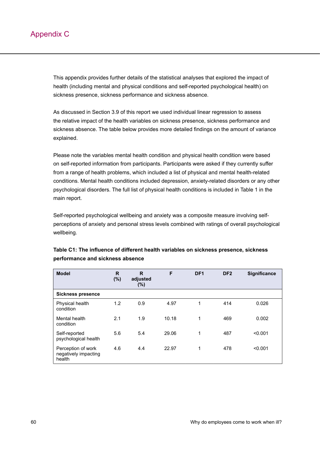This appendix provides further details of the statistical analyses that explored the impact of health (including mental and physical conditions and self-reported psychological health) on sickness presence, sickness performance and sickness absence.

As discussed in Section 3.9 of this report we used individual linear regression to assess the relative impact of the health variables on sickness presence, sickness performance and sickness absence. The table below provides more detailed findings on the amount of variance explained.

Please note the variables mental health condition and physical health condition were based on self-reported information from participants. Participants were asked if they currently suffer from a range of health problems, which included a list of physical and mental health-related conditions. Mental health conditions included depression, anxiety-related disorders or any other psychological disorders. The full list of physical health conditions is included in Table 1 in the main report.

Self-reported psychological wellbeing and anxiety was a composite measure involving selfperceptions of anxiety and personal stress levels combined with ratings of overall psychological wellbeing.

| <b>Model</b>                                         | R<br>(%) | R<br>adjusted<br>$(\%)$ | F     | DF <sub>1</sub> | DF <sub>2</sub> | <b>Significance</b> |
|------------------------------------------------------|----------|-------------------------|-------|-----------------|-----------------|---------------------|
| <b>Sickness presence</b>                             |          |                         |       |                 |                 |                     |
| Physical health<br>condition                         | 1.2      | 0.9                     | 4.97  | 1               | 414             | 0.026               |
| Mental health<br>condition                           | 2.1      | 1.9                     | 10.18 | 1               | 469             | 0.002               |
| Self-reported<br>psychological health                | 5.6      | 5.4                     | 29.06 | 1               | 487             | < 0.001             |
| Perception of work<br>negatively impacting<br>health | 4.6      | 4.4                     | 22.97 | 1               | 478             | < 0.001             |

# **Table C1: The influence of different health variables on sickness presence, sickness performance and sickness absence**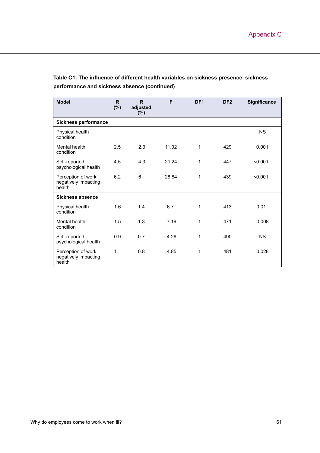| <b>Model</b>                                         | R.<br>$(\%)$ | $\mathsf{R}$<br>adjusted<br>$(\%)$ | F     | DF <sub>1</sub> | DF <sub>2</sub> | <b>Significance</b> |
|------------------------------------------------------|--------------|------------------------------------|-------|-----------------|-----------------|---------------------|
| <b>Sickness performance</b>                          |              |                                    |       |                 |                 |                     |
| Physical health<br>condition                         |              |                                    |       |                 |                 | <b>NS</b>           |
| Mental health<br>condition                           | 2.5          | 2.3                                | 11.02 | $\mathbf 1$     | 429             | 0.001               |
| Self-reported<br>psychological health                | 4.5          | 4.3                                | 21.24 | 1               | 447             | < 0.001             |
| Perception of work<br>negatively impacting<br>health | 6.2          | 6                                  | 28.84 | 1               | 439             | < 0.001             |
| Sickness absence                                     |              |                                    |       |                 |                 |                     |
| Physical health<br>condition                         | 1.6          | 1.4                                | 6.7   | $\mathbf 1$     | 413             | 0.01                |
| Mental health<br>condition                           | 1.5          | 1.3                                | 7.19  | 1               | 471             | 0.008               |
| Self-reported<br>psychological health                | 0.9          | 0.7                                | 4.26  | 1               | 490             | <b>NS</b>           |
| Perception of work<br>negatively impacting<br>health | 1            | 0.8                                | 4.85  | 1               | 481             | 0.028               |

# **Table C1: The influence of different health variables on sickness presence, sickness performance and sickness absence (continued)**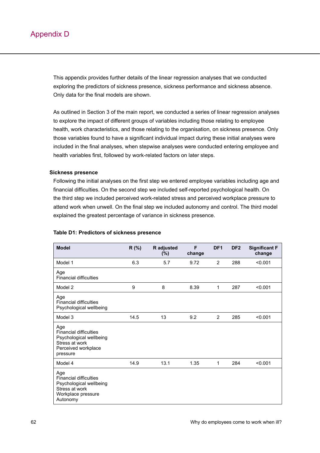This appendix provides further details of the linear regression analyses that we conducted exploring the predictors of sickness presence, sickness performance and sickness absence. Only data for the final models are shown.

As outlined in Section 3 of the main report, we conducted a series of linear regression analyses to explore the impact of different groups of variables including those relating to employee health, work characteristics, and those relating to the organisation, on sickness presence. Only those variables found to have a significant individual impact during these initial analyses were included in the final analyses, when stepwise analyses were conducted entering employee and health variables first, followed by work-related factors on later steps.

## **Sickness presence**

Following the initial analyses on the first step we entered employee variables including age and financial difficulties. On the second step we included self-reported psychological health. On the third step we included perceived work-related stress and perceived workplace pressure to attend work when unwell. On the final step we included autonomy and control. The third model explained the greatest percentage of variance in sickness presence.

| <b>Model</b>                                                                                                         | R(%) | R adjusted<br>$(\%)$ | F<br>change | DF <sub>1</sub> | DF <sub>2</sub> | <b>Significant F</b><br>change |
|----------------------------------------------------------------------------------------------------------------------|------|----------------------|-------------|-----------------|-----------------|--------------------------------|
| Model 1                                                                                                              | 6.3  | 5.7                  | 9.72        | 2               | 288             | < 0.001                        |
| Age<br><b>Financial difficulties</b>                                                                                 |      |                      |             |                 |                 |                                |
| Model 2                                                                                                              | 9    | 8                    | 8.39        | 1               | 287             | < 0.001                        |
| Age<br><b>Financial difficulties</b><br>Psychological wellbeing                                                      |      |                      |             |                 |                 |                                |
| Model 3                                                                                                              | 14.5 | 13                   | 9.2         | 2               | 285             | < 0.001                        |
| Age<br><b>Financial difficulties</b><br>Psychological wellbeing<br>Stress at work<br>Perceived workplace<br>pressure |      |                      |             |                 |                 |                                |
| Model 4                                                                                                              | 14.9 | 13.1                 | 1.35        | 1               | 284             | < 0.001                        |
| Age<br><b>Financial difficulties</b><br>Psychological wellbeing<br>Stress at work<br>Workplace pressure<br>Autonomy  |      |                      |             |                 |                 |                                |

## **Table D1: Predictors of sickness presence**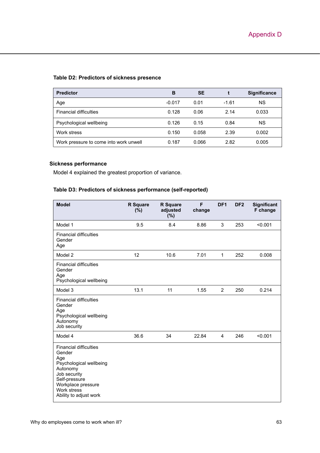## **Table D2: Predictors of sickness presence**

| <b>Predictor</b>                       | в        | <b>SE</b> |         | <b>Significance</b> |
|----------------------------------------|----------|-----------|---------|---------------------|
| Age                                    | $-0.017$ | 0.01      | $-1.61$ | ΝS                  |
| <b>Financial difficulties</b>          | 0.128    | 0.06      | 2.14    | 0.033               |
| Psychological wellbeing                | 0.126    | 0.15      | 0.84    | <b>NS</b>           |
| Work stress                            | 0.150    | 0.058     | 2.39    | 0.002               |
| Work pressure to come into work unwell | 0.187    | 0.066     | 2.82    | 0.005               |

# **Sickness performance**

Model 4 explained the greatest proportion of variance.

# **Table D3: Predictors of sickness performance (self-reported)**

| <b>Model</b>                                                                                                                                                                          | <b>R</b> Square<br>$(\%)$ | <b>R</b> Square<br>adjusted<br>(%) | F<br>change | DF <sub>1</sub> | DF <sub>2</sub> | <b>Significant</b><br>F change |
|---------------------------------------------------------------------------------------------------------------------------------------------------------------------------------------|---------------------------|------------------------------------|-------------|-----------------|-----------------|--------------------------------|
| Model 1                                                                                                                                                                               | 9.5                       | 8.4                                | 8.86        | 3               | 253             | < 0.001                        |
| <b>Financial difficulties</b><br>Gender<br>Age                                                                                                                                        |                           |                                    |             |                 |                 |                                |
| Model 2                                                                                                                                                                               | 12                        | 10.6                               | 7.01        | 1               | 252             | 0.008                          |
| <b>Financial difficulties</b><br>Gender<br>Age<br>Psychological wellbeing                                                                                                             |                           |                                    |             |                 |                 |                                |
| Model 3                                                                                                                                                                               | 13.1                      | 11                                 | 1.55        | $\overline{2}$  | 250             | 0.214                          |
| <b>Financial difficulties</b><br>Gender<br>Age<br>Psychological wellbeing<br>Autonomy<br>Job security                                                                                 |                           |                                    |             |                 |                 |                                |
| Model 4                                                                                                                                                                               | 36.6                      | 34                                 | 22.84       | 4               | 246             | < 0.001                        |
| <b>Financial difficulties</b><br>Gender<br>Age<br>Psychological wellbeing<br>Autonomy<br>Job security<br>Self-pressure<br>Workplace pressure<br>Work stress<br>Ability to adjust work |                           |                                    |             |                 |                 |                                |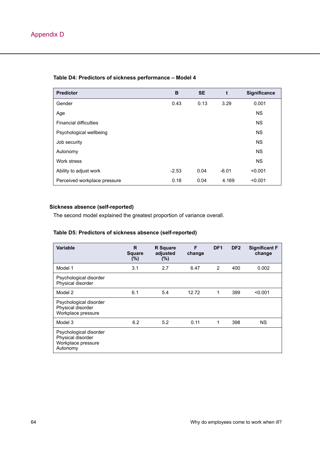| <b>Predictor</b>              | B       | <b>SE</b> | t       | <b>Significance</b> |
|-------------------------------|---------|-----------|---------|---------------------|
| Gender                        | 0.43    | 0.13      | 3.29    | 0.001               |
| Age                           |         |           |         | <b>NS</b>           |
| <b>Financial difficulties</b> |         |           |         | <b>NS</b>           |
| Psychological wellbeing       |         |           |         | <b>NS</b>           |
| Job security                  |         |           |         | <b>NS</b>           |
| Autonomy                      |         |           |         | <b>NS</b>           |
| Work stress                   |         |           |         | <b>NS</b>           |
| Ability to adjust work        | $-2.53$ | 0.04      | $-6.01$ | < 0.001             |
| Perceived workplace pressure  | 0.18    | 0.04      | 4.169   | < 0.001             |

# **Table D4: Predictors of sickness performance – Model 4**

# **Sickness absence (self-reported)**

The second model explained the greatest proportion of variance overall.

# **Table D5: Predictors of sickness absence (self-reported)**

| <b>Variable</b>                                                               | R<br><b>Square</b><br>$(\%)$ | <b>R</b> Square<br>adjusted<br>$(\%)$ | F<br>change | DF <sub>1</sub> | DF <sub>2</sub> | <b>Significant F</b><br>change |
|-------------------------------------------------------------------------------|------------------------------|---------------------------------------|-------------|-----------------|-----------------|--------------------------------|
| Model 1                                                                       | 3.1                          | 2.7                                   | 6.47        | 2               | 400             | 0.002                          |
| Psychological disorder<br>Physical disorder                                   |                              |                                       |             |                 |                 |                                |
| Model 2                                                                       | 6.1                          | 5.4                                   | 12.72       | 1               | 399             | < 0.001                        |
| Psychological disorder<br>Physical disorder<br>Workplace pressure             |                              |                                       |             |                 |                 |                                |
| Model 3                                                                       | 6.2                          | 5.2                                   | 0.11        | 1               | 398             | <b>NS</b>                      |
| Psychological disorder<br>Physical disorder<br>Workplace pressure<br>Autonomy |                              |                                       |             |                 |                 |                                |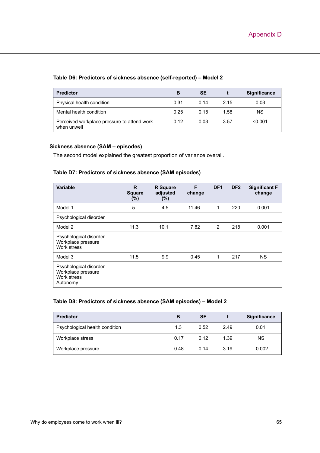## **Table D6: Predictors of sickness absence (self-reported) – Model 2**

| <b>Predictor</b>                                           | В    | SE   |      | <b>Significance</b> |
|------------------------------------------------------------|------|------|------|---------------------|
| Physical health condition                                  | 0.31 | 0.14 | 2.15 | 0.03                |
| Mental health condition                                    | 0.25 | 0.15 | 1.58 | ΝS                  |
| Perceived workplace pressure to attend work<br>when unwell | 0.12 | 0.03 | 3.57 | < 0.001             |

### **Sickness absence (SAM – episodes)**

The second model explained the greatest proportion of variance overall.

# **Table D7: Predictors of sickness absence (SAM episodes)**

| Variable                                                                | R<br><b>Square</b><br>$(\%)$ | <b>R</b> Square<br>adjusted<br>$(\% )$ | F<br>change | DF <sub>1</sub> | DF <sub>2</sub> | <b>Significant F</b><br>change |
|-------------------------------------------------------------------------|------------------------------|----------------------------------------|-------------|-----------------|-----------------|--------------------------------|
| Model 1                                                                 | 5                            | 4.5                                    | 11.46       | $\mathbf 1$     | 220             | 0.001                          |
| Psychological disorder                                                  |                              |                                        |             |                 |                 |                                |
| Model 2                                                                 | 11.3                         | 10.1                                   | 7.82        | 2               | 218             | 0.001                          |
| Psychological disorder<br>Workplace pressure<br>Work stress             |                              |                                        |             |                 |                 |                                |
| Model 3                                                                 | 11.5                         | 9.9                                    | 0.45        | 1               | 217             | ΝS                             |
| Psychological disorder<br>Workplace pressure<br>Work stress<br>Autonomy |                              |                                        |             |                 |                 |                                |

#### **Table D8: Predictors of sickness absence (SAM episodes) – Model 2**

| <b>Predictor</b>               | в    | <b>SE</b> |      | <b>Significance</b> |
|--------------------------------|------|-----------|------|---------------------|
| Psychological health condition | 1.3  | 0.52      | 2.49 | 0.01                |
| Workplace stress               | 0.17 | 0.12      | 1.39 | ΝS                  |
| Workplace pressure             | 0.48 | 0.14      | 3.19 | 0.002               |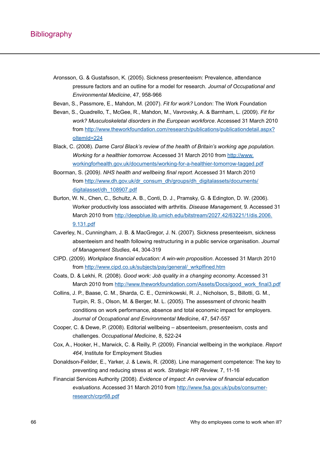- Aronsson, G. & Gustafsson, K. (2005). Sickness presenteeism: Prevalence, attendance pressure factors and an outline for a model for research. *Journal of Occupational and Environmental Medicine*, 47, 958-966
- Bevan, S., Passmore, E., Mahdon, M. (2007). *Fit for work?* London: The Work Foundation
- Bevan, S., Quadrello, T., McGee, R., Mahdon, M., Vavrovsky, A. & Barnham, L. (2009). *Fit for work? Musculoskeletal disorders in the European workforce*. Accessed 31 March 2010 from [http://www.theworkfoundation.com/research/publications/publicationdetail.aspx?](http://www.theworkfoundation.com/research/publications/publicationdetail.aspx?oItemId=224) oltemId=224
- Black, C. (2008). *Dame Carol Black's review of the health of Britain's working age population. Working for a healthier tomorrow.* Accessed 31 March 2010 from [http://www.](http://www.workingforhealth.gov.uk/documents/working-for-a-healthier-tomorrow-tagged.pdf)  [workingforhealth.gov.uk/documents/working-for-a-healthier-tomorrow-tagged.pdf](http://www.workingforhealth.gov.uk/documents/working-for-a-healthier-tomorrow-tagged.pdf)
- Boorman, S. (2009*). NHS health and wellbeing final report*. Accessed 31 March 2010 from [http://www.dh.gov.uk/dr\\_consum\\_dh/groups/dh\\_digitalassets/documents/](http://www.dh.gov.uk/dr_consum_dh/groups/dh_digitalassets/documents/digitalasset/dh_108907.pdf)  [digitalasset/dh\\_108907.pdf](http://www.dh.gov.uk/dr_consum_dh/groups/dh_digitalassets/documents/digitalasset/dh_108907.pdf)
- Burton, W. N., Chen, C., Schultz, A. B., Conti, D. J., Pramsky, G. & Edington, D. W. (2006). Worker productivity loss associated with arthritis. *Disease Management*, 9. Accessed 31 March 2010 from [http://deepblue.lib.umich.edu/bitstream/2027.42/63221/1/dis.2006.](http://deepblue.lib.umich.edu/bitstream/2027.42/63221/1/dis.2006.9.131.pdf) [9.131.pdf](http://deepblue.lib.umich.edu/bitstream/2027.42/63221/1/dis.2006.9.131.pdf)
- Caverley, N., Cunningham, J. B. & MacGregor, J. N. (2007). Sickness presenteeism, sickness absenteeism and health following restructuring in a public service organisation. *Journal of Management Studies*, 44, 304-319
- CIPD. (2009). *Workplace financial education: A win-win proposition*. Accessed 31 March 2010 from [http://www.cipd.co.uk/subjects/pay/general/\\_wrkplfined.ht](http://www.cipd.co.uk/subjects/pay/general/_wrkplfined.htm)m
- Coats, D. & Lekhi, R. (2008). *Good work: Job quality in a changing economy.* Accessed 31 March 2010 from [http://www.theworkfoundation.com/Assets/Docs/good\\_work\\_final3.pd](http://www.theworkfoundation.com/Assets/Docs/good_work_final3.pdf)f
- Collins, J. P., Baase, C. M., Sharda, C. E., Ozminkowski, R. J., Nicholson, S., Billotti, G. M., Turpin, R. S., Olson, M. & Berger, M. L. (2005). The assessment of chronic health conditions on work performance, absence and total economic impact for employers. *Journal of Occupational and Environmental Medicine*, 47, 547-557
- Cooper, C. & Dewe, P. (2008). Editorial wellbeing absenteeism, presenteeism, costs and challenges. *Occupational Medicine*, 8, 522-24
- Cox, A., Hooker, H., Marwick, C. & Reilly, P. (2009). Financial wellbeing in the workplace. *Report 464*, Institute for Employment Studies
- Donaldson-Feilder, E., Yarker, J. & Lewis, R. (2008). Line management competence: The key to preventing and reducing stress at work. *Strategic HR Review,* 7, 11-16
- Financial Services Authority (2008). *Evidence of impact: An overview of financial education evaluations*. Accessed 31 March 2010 from [http://www.fsa.gov.uk/pubs/consumer](http://www.fsa.gov.uk/pubs/consumer-research/crpr68.pdf)[research/crpr68.pdf](http://www.fsa.gov.uk/pubs/consumer-research/crpr68.pdf)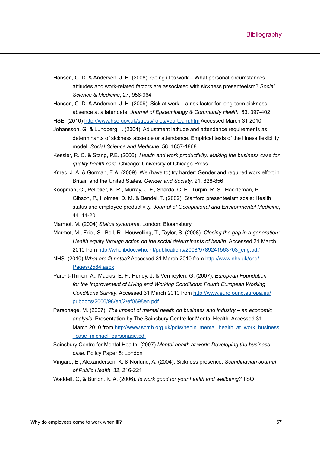- Hansen, C. D. & Andersen, J. H. (2008). Going ill to work What personal circumstances, attitudes and work-related factors are associated with sickness presenteeism? *Social Science & Medicine*, 27, 956-964
- Hansen, C. D. & Andersen, J. H. (2009). Sick at work a risk factor for long-term sickness absence at a later date. *Journal of Epidemiology & Community Health*, 63, 397-402

HSE. (2010)<http://www.hse.gov.uk/stress/roles/yourteam.htm> Accessed March 31 2010

- Johansson, G. & Lundberg, I. (2004). Adjustment latitude and attendance requirements as determinants of sickness absence or attendance. Empirical tests of the illness flexibility model. *Social Science and Medicine*, 58, 1857-1868
- Kessler, R. C. & Stang, P.E. (2006). *Health and work productivity: Making the business case for quality health care.* Chicago: University of Chicago Press
- Kmec, J. A. & Gorman, E.A. (2009). We (have to) try harder: Gender and required work effort in Britain and the United States. *Gender and Society*, 21, 828-856
- Koopman, C., Pelletier, K. R., Murray, J. F., Sharda, C. E., Turpin, R. S., Hackleman, P., Gibson, P., Holmes, D. M. & Bendel, T. (2002). Stanford presenteeism scale: Health status and employee productivity. *Journal of Occupational and Environmental Medicine*, 44*,* 14-20
- Marmot, M. (2004) *Status syndrome*. London: Bloomsbury
- Marmot, M., Friel, S., Bell, R., Houwelling, T., Taylor, S. (2008). *Closing the gap in a generation: Health equity through action on the social determinants of health.* Accessed 31 March 2010 from [http://whqlibdoc.who.int/publications/2008/9789241563703\\_eng.pd](http://whqlibdoc.who.int/publications/2008/9789241563703_eng.pdf)f
- NHS. (2010) *What are fit notes?* Accessed 31 March 2010 from [http://www.nhs.uk/chq/](http://www.nhs.uk/chq/Pages/2584.aspx)  [Pages/2584.aspx](http://www.nhs.uk/chq/Pages/2584.aspx)
- Parent-Thirion, A., Macias, E. F., Hurley, J. & Vermeylen, G. (2007). *European Foundation for the Improvement of Living and Working Conditions: Fourth European Working Conditions Survey*. Accessed 31 March 2010 from [http://www.eurofound.europa.eu/](http://www.eurofound.europa.eu/pubdocs/2006/98/en/2/ef0698en.pdf) [pubdocs/2006/98/en/2/ef0698en.pdf](http://www.eurofound.europa.eu/pubdocs/2006/98/en/2/ef0698en.pdf)
- Parsonage, M. (2007). *The impact of mental health on business and industry an economic analysis.* Presentation by The Sainsbury Centre for Mental Health. Accessed 31 March 2010 from [http://www.scmh.org.uk/pdfs/nehin\\_mental\\_health\\_at\\_work\\_business](http://www.scmh.org.uk/pdfs/nehin_mental_health_at_work_business_case_michael_parsonage.pdf) [\\_case\\_michael\\_parsonage.pdf](http://www.scmh.org.uk/pdfs/nehin_mental_health_at_work_business_case_michael_parsonage.pdf)
- Sainsbury Centre for Mental Health. (2007) *Mental health at work: Developing the business case.* Policy Paper 8: London
- Vingard, E., Alexanderson, K. & Norlund, A. (2004). Sickness presence. *Scandinavian Journal of Public Health*, 32, 216-221
- Waddell, G, & Burton, K. A. (2006). *Is work good for your health and wellbeing?* TSO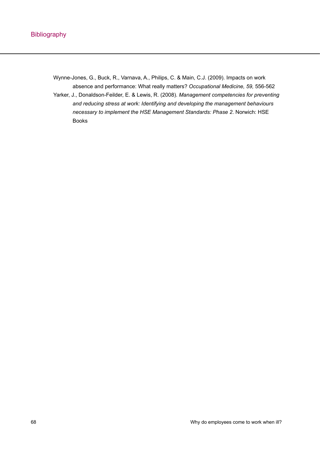Wynne-Jones, G., Buck, R., Varnava, A., Philips, C. & Main, C.J. (2009). Impacts on work absence and performance: What really matters? *Occupational Medicine, 59,* 556-562 Yarker, J., Donaldson-Feilder, E. & Lewis, R. (2008). *Management competencies for preventing and reducing stress at work: Identifying and developing the management behaviours necessary to implement the HSE Management Standards: Phase 2*. Norwich: HSE Books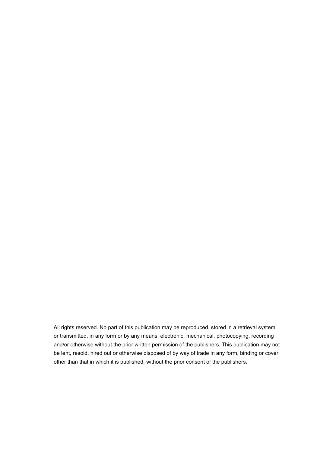All rights reserved. No part of this publication may be reproduced, stored in a retrieval system or transmitted, in any form or by any means, electronic, mechanical, photocopying, recording and/or otherwise without the prior written permission of the publishers. This publication may not be lent, resold, hired out or otherwise disposed of by way of trade in any form, binding or cover other than that in which it is published, without the prior consent of the publishers.